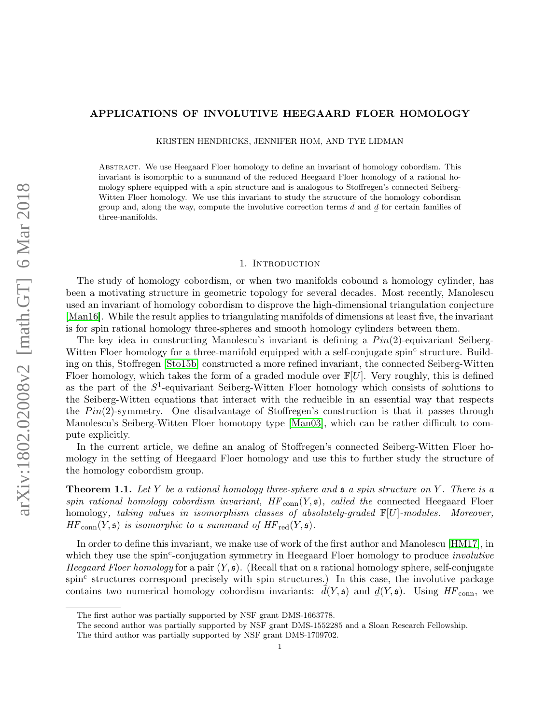### APPLICATIONS OF INVOLUTIVE HEEGAARD FLOER HOMOLOGY

KRISTEN HENDRICKS, JENNIFER HOM, AND TYE LIDMAN

Abstract. We use Heegaard Floer homology to define an invariant of homology cobordism. This invariant is isomorphic to a summand of the reduced Heegaard Floer homology of a rational homology sphere equipped with a spin structure and is analogous to Stoffregen's connected Seiberg-Witten Floer homology. We use this invariant to study the structure of the homology cobordism group and, along the way, compute the involutive correction terms  $\bar{d}$  and  $\bar{d}$  for certain families of three-manifolds.

### 1. Introduction

The study of homology cobordism, or when two manifolds cobound a homology cylinder, has been a motivating structure in geometric topology for several decades. Most recently, Manolescu used an invariant of homology cobordism to disprove the high-dimensional triangulation conjecture [\[Man16\]](#page-31-0). While the result applies to triangulating manifolds of dimensions at least five, the invariant is for spin rational homology three-spheres and smooth homology cylinders between them.

The key idea in constructing Manolescu's invariant is defining a  $Pin(2)$ -equivariant Seiberg-Witten Floer homology for a three-manifold equipped with a self-conjugate spin<sup>c</sup> structure. Building on this, Stoffregen [\[Sto15b\]](#page-32-0) constructed a more refined invariant, the connected Seiberg-Witten Floer homology, which takes the form of a graded module over  $\mathbb{F}[U]$ . Very roughly, this is defined as the part of the  $S^1$ -equivariant Seiberg-Witten Floer homology which consists of solutions to the Seiberg-Witten equations that interact with the reducible in an essential way that respects the  $Pin(2)$ -symmetry. One disadvantage of Stoffregen's construction is that it passes through Manolescu's Seiberg-Witten Floer homotopy type [\[Man03\]](#page-31-1), which can be rather difficult to compute explicitly.

In the current article, we define an analog of Stoffregen's connected Seiberg-Witten Floer homology in the setting of Heegaard Floer homology and use this to further study the structure of the homology cobordism group.

<span id="page-0-0"></span>**Theorem 1.1.** Let Y be a rational homology three-sphere and  $\mathfrak s$  a spin structure on Y. There is a spin rational homology cobordism invariant,  $HF_{conn}(Y, \mathfrak{s})$ , called the connected Heegaard Floer homology, taking values in isomorphism classes of absolutely-graded  $\mathbb{F}[U]$ -modules. Moreover,  $HF_{conn}(Y, \mathfrak{s})$  is isomorphic to a summand of  $HF_{red}(Y, \mathfrak{s})$ .

In order to define this invariant, we make use of work of the first author and Manolescu [\[HM17\]](#page-31-2), in which they use the spin<sup>c</sup>-conjugation symmetry in Heegaard Floer homology to produce *involutive* Heegaard Floer homology for a pair  $(Y, \mathfrak{s})$ . (Recall that on a rational homology sphere, self-conjugate spin<sup>c</sup> structures correspond precisely with spin structures.) In this case, the involutive package contains two numerical homology cobordism invariants:  $d(Y, \mathfrak{s})$  and  $d(Y, \mathfrak{s})$ . Using HF<sub>conn</sub>, we

The first author was partially supported by NSF grant DMS-1663778.

The second author was partially supported by NSF grant DMS-1552285 and a Sloan Research Fellowship.

The third author was partially supported by NSF grant DMS-1709702.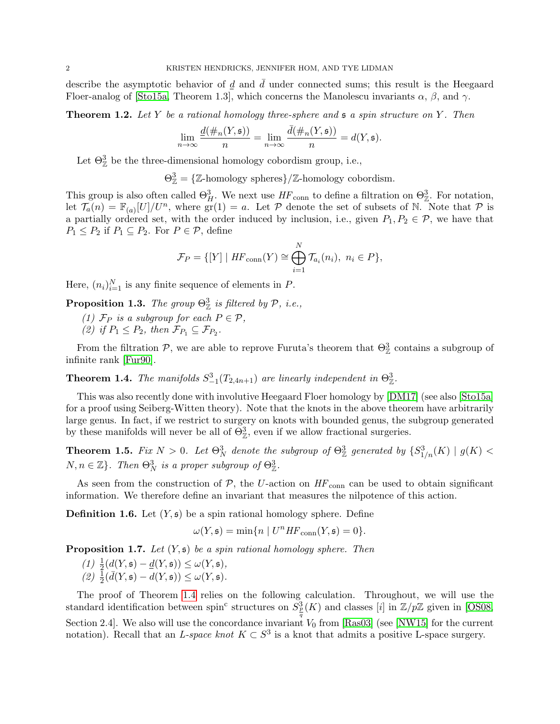describe the asymptotic behavior of  $d$  and  $\bar{d}$  under connected sums; this result is the Heegaard Floer-analog of [\[Sto15a,](#page-32-1) Theorem 1.3], which concerns the Manolescu invariants  $\alpha$ ,  $\beta$ , and  $\gamma$ .

<span id="page-1-3"></span>**Theorem 1.2.** Let Y be a rational homology three-sphere and  $\mathfrak s$  a spin structure on Y. Then

$$
\lim_{n \to \infty} \frac{\underline{d}(\#_n(Y, \mathfrak{s}))}{n} = \lim_{n \to \infty} \frac{\overline{d}(\#_n(Y, \mathfrak{s}))}{n} = d(Y, \mathfrak{s}).
$$

Let  $\Theta_{\mathbb{Z}}^3$  be the three-dimensional homology cobordism group, i.e.,

 $\Theta_{\mathbb{Z}}^3 = {\mathbb{Z}}$ -homology spheres}/ $\mathbb{Z}$ -homology cobordism.

This group is also often called  $\Theta_H^3$ . We next use  $HF_{conn}$  to define a filtration on  $\Theta_{\mathbb{Z}}^3$ . For notation, let  $\overline{\mathcal{T}_a}(n) = \mathbb{F}_{(a)}[U]/U^n$ , where  $\overline{\text{gr}}(1) = a$ . Let P denote the set of subsets of N. Note that P is a partially ordered set, with the order induced by inclusion, i.e., given  $P_1, P_2 \in \mathcal{P}$ , we have that  $P_1 \leq P_2$  if  $P_1 \subseteq P_2$ . For  $P \in \mathcal{P}$ , define

$$
\mathcal{F}_P = \{ [Y] \mid HF_{\text{conn}}(Y) \cong \bigoplus_{i=1}^N \mathcal{T}_{a_i}(n_i), \ n_i \in P \},
$$

Here,  $(n_i)_{i=1}^N$  is any finite sequence of elements in P.

**Proposition 1.3.** The group  $\Theta^3_{\mathbb{Z}}$  is filtered by  $\mathcal{P}$ , i.e.,

- (1)  $\mathcal{F}_P$  is a subgroup for each  $P \in \mathcal{P}$ ,
- (2) if  $P_1 \leq P_2$ , then  $\mathcal{F}_{P_1} \subseteq \mathcal{F}_{P_2}$ .

From the filtration  $P$ , we are able to reprove Furuta's theorem that  $\Theta_{\mathbb{Z}}^3$  contains a subgroup of infinite rank [\[Fur90\]](#page-31-3).

<span id="page-1-0"></span>**Theorem 1.4.** The manifolds  $S_{-1}^3(T_{2,4n+1})$  are linearly independent in  $\Theta_{\mathbb{Z}}^3$ .

This was also recently done with involutive Heegaard Floer homology by [\[DM17\]](#page-31-4) (see also [\[Sto15a\]](#page-32-1) for a proof using Seiberg-Witten theory). Note that the knots in the above theorem have arbitrarily large genus. In fact, if we restrict to surgery on knots with bounded genus, the subgroup generated by these manifolds will never be all of  $\Theta_{\mathbb{Z}}^3$ , even if we allow fractional surgeries.

**Theorem 1.5.** Fix  $N > 0$ . Let  $\Theta_N^3$  denote the subgroup of  $\Theta_\mathbb{Z}^3$  generated by  $\{S_{1/n}^3(K) \mid g(K) < \Theta_N^3\}$  $N, n \in \mathbb{Z}$ . Then  $\Theta_N^3$  is a proper subgroup of  $\Theta_{\mathbb{Z}}^3$ .

As seen from the construction of  $\mathcal{P}$ , the U-action on  $HF_{\text{conn}}$  can be used to obtain significant information. We therefore define an invariant that measures the nilpotence of this action.

<span id="page-1-1"></span>**Definition 1.6.** Let  $(Y, \mathfrak{s})$  be a spin rational homology sphere. Define

$$
\omega(Y, \mathfrak{s}) = \min\{n \mid U^n H F_{\text{conn}}(Y, \mathfrak{s}) = 0\}.
$$

<span id="page-1-2"></span>**Proposition 1.7.** Let  $(Y, \mathfrak{s})$  be a spin rational homology sphere. Then

(1)  $\frac{1}{2}(d(Y, \mathfrak{s}) - d(Y, \mathfrak{s})) \leq \omega(Y, \mathfrak{s}),$  $(2) \frac{1}{2}(\bar{d}(Y, \mathfrak{s}) - d(Y, \mathfrak{s})) \leq \omega(Y, \mathfrak{s}).$ 

The proof of Theorem [1.4](#page-1-0) relies on the following calculation. Throughout, we will use the standard identification between spin<sup>c</sup> structures on  $S_p^3(K)$  and classes [i] in  $\mathbb{Z}/p\mathbb{Z}$  given in [\[OS08,](#page-31-5) Section 2.4]. We also will use the concordance invariant  $V_0$  from [\[Ras03\]](#page-31-6) (see [\[NW15\]](#page-31-7) for the current notation). Recall that an L-space knot  $K \subset S^3$  is a knot that admits a positive L-space surgery.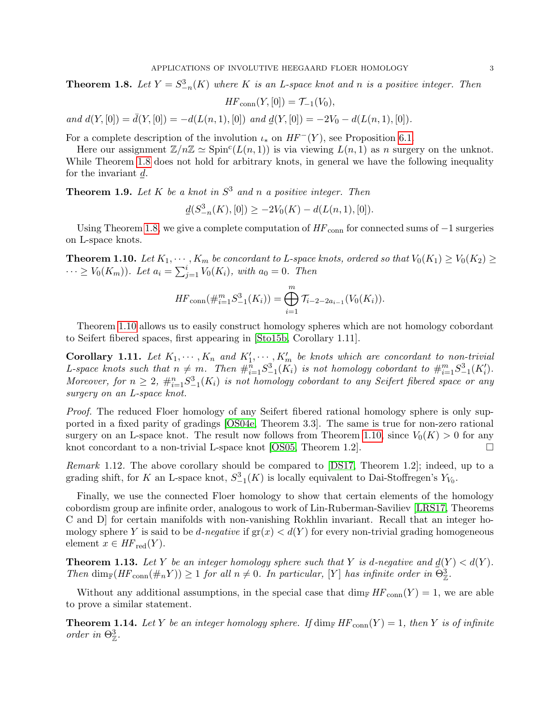<span id="page-2-0"></span>**Theorem 1.8.** Let  $Y = S_{-n}^3(K)$  where K is an L-space knot and n is a positive integer. Then

$$
HF_{\text{conn}}(Y,[0]) = \mathcal{T}_{-1}(V_0),
$$

and  $d(Y, [0]) = \overline{d}(Y, [0]) = -d(L(n, 1), [0])$  and  $d(Y, [0]) = -2V_0 - d(L(n, 1), [0]).$ 

For a complete description of the involution  $\iota_*$  on  $HF^{-}(Y)$ , see Proposition [6.1.](#page-18-0)

Here our assignment  $\mathbb{Z}/n\mathbb{Z} \simeq \text{Spin}^{c}(L(n, 1))$  is via viewing  $L(n, 1)$  as n surgery on the unknot. While Theorem [1.8](#page-2-0) does not hold for arbitrary knots, in general we have the following inequality for the invariant d.

<span id="page-2-4"></span>**Theorem 1.9.** Let K be a knot in  $S^3$  and n a positive integer. Then

$$
\underline{d}(S^3_{-n}(K),[0]) \ge -2V_0(K) - d(L(n,1),[0]).
$$

Using Theorem [1.8,](#page-2-0) we give a complete computation of  $HF_{\text{conn}}$  for connected sums of  $-1$  surgeries on L-space knots.

<span id="page-2-1"></span>**Theorem 1.10.** Let  $K_1, \dots, K_m$  be concordant to L-space knots, ordered so that  $V_0(K_1) \geq V_0(K_2) \geq$  $\cdots \geq V_0(K_m)$ ). Let  $a_i = \sum_{j=1}^i V_0(K_i)$ , with  $a_0 = 0$ . Then

$$
HF_{\text{conn}}(\#_{i=1}^m S_{-1}^3(K_i)) = \bigoplus_{i=1}^m \mathcal{T}_{i-2-2a_{i-1}}(V_0(K_i)).
$$

Theorem [1.10](#page-2-1) allows us to easily construct homology spheres which are not homology cobordant to Seifert fibered spaces, first appearing in [\[Sto15b,](#page-32-0) Corollary 1.11].

**Corollary 1.11.** Let  $K_1, \dots, K_n$  and  $K'_1, \dots, K'_m$  be knots which are concordant to non-trivial L-space knots such that  $n \neq m$ . Then  $\#_{i=1}^{n} S_{-1}^{3}(K_i)$  is not homology cobordant to  $\#_{i=1}^{m} S_{-1}^{3}(K'_i)$ . Moreover, for  $n \geq 2$ ,  $\#_{i=1}^n S^3_{-1}(K_i)$  is not homology cobordant to any Seifert fibered space or any surgery on an L-space knot.

Proof. The reduced Floer homology of any Seifert fibered rational homology sphere is only supported in a fixed parity of gradings [\[OS04e,](#page-31-8) Theorem 3.3]. The same is true for non-zero rational surgery on an L-space knot. The result now follows from Theorem [1.10,](#page-2-1) since  $V_0(K) > 0$  for any knot concordant to a non-trivial L-space knot [\[OS05,](#page-31-9) Theorem 1.2].  $\Box$ 

Remark 1.12. The above corollary should be compared to [\[DS17,](#page-31-10) Theorem 1.2]; indeed, up to a grading shift, for K an L-space knot,  $S_{-1}^3(K)$  is locally equivalent to Dai-Stoffregen's  $Y_{V_0}$ .

Finally, we use the connected Floer homology to show that certain elements of the homology cobordism group are infinite order, analogous to work of Lin-Ruberman-Saviliev [\[LRS17,](#page-31-11) Theorems C and D] for certain manifolds with non-vanishing Rokhlin invariant. Recall that an integer homology sphere Y is said to be d-negative if  $gr(x) < d(Y)$  for every non-trivial grading homogeneous element  $x \in HF_{\text{red}}(Y)$ .

<span id="page-2-2"></span>**Theorem 1.13.** Let Y be an integer homology sphere such that Y is d-negative and  $\underline{d}(Y) < d(Y)$ . Then  $\dim_{\mathbb{F}}(HF_{conn}(\#_n Y)) \geq 1$  for all  $n \neq 0$ . In particular, [Y] has infinite order in  $\Theta^3_{\mathbb{Z}}$ .

Without any additional assumptions, in the special case that  $\dim_{\mathbb{F}} HF_{conn}(Y) = 1$ , we are able to prove a similar statement.

<span id="page-2-3"></span>**Theorem 1.14.** Let Y be an integer homology sphere. If  $\dim_{\mathbb{F}} HF_{conn}(Y) = 1$ , then Y is of infinite order in  $\Theta^3_{\mathbb{Z}}$ .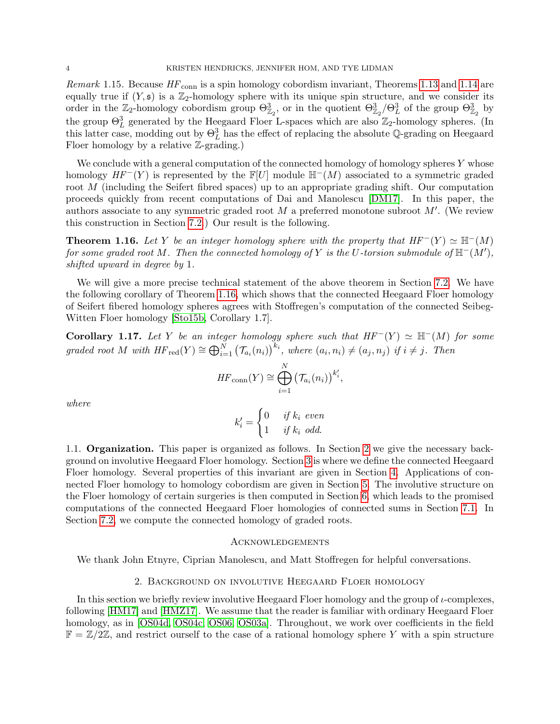Remark 1.15. Because  $HF_{\text{conn}}$  is a spin homology cobordism invariant, Theorems [1.13](#page-2-2) and [1.14](#page-2-3) are equally true if  $(Y, \mathfrak{s})$  is a  $\mathbb{Z}_2$ -homology sphere with its unique spin structure, and we consider its order in the  $\mathbb{Z}_2$ -homology cobordism group  $\Theta_{\mathbb{Z}_2}^3$ , or in the quotient  $\Theta_{\mathbb{Z}_2}^3/\Theta_L^3$  of the group  $\Theta_{\mathbb{Z}_2}^3$  by the group  $\Theta_L^3$  generated by the Heegaard Floer L-spaces which are also  $\mathbb{Z}_2$ -homology spheres. (In this latter case, modding out by  $\Theta_L^3$  has the effect of replacing the absolute Q-grading on Heegaard Floer homology by a relative Z-grading.)

We conclude with a general computation of the connected homology of homology spheres  $Y$  whose homology  $HF^{-}(Y)$  is represented by the  $\mathbb{F}[U]$  module  $\mathbb{H}^{-}(M)$  associated to a symmetric graded root M (including the Seifert fibred spaces) up to an appropriate grading shift. Our computation proceeds quickly from recent computations of Dai and Manolescu [\[DM17\]](#page-31-4). In this paper, the authors associate to any symmetric graded root  $M$  a preferred monotone subroot  $M'$ . (We review this construction in Section [7.2.](#page-28-0)) Our result is the following.

<span id="page-3-0"></span>**Theorem 1.16.** Let Y be an integer homology sphere with the property that  $HF^{-}(Y) \simeq \mathbb{H}^{-}(M)$ for some graded root M. Then the connected homology of Y is the U-torsion submodule of  $\mathbb{H}^-(M'),$ shifted upward in degree by 1.

We will give a more precise technical statement of the above theorem in Section [7.2.](#page-28-0) We have the following corollary of Theorem [1.16,](#page-3-0) which shows that the connected Heegaard Floer homology of Seifert fibered homology spheres agrees with Stoffregen's computation of the connected Seibeg-Witten Floer homology [\[Sto15b,](#page-32-0) Corollary 1.7].

<span id="page-3-2"></span>Corollary 1.17. Let Y be an integer homology sphere such that  $HF^{-}(Y) \simeq \mathbb{H}^{-}(M)$  for some graded root M with  $HF_{red}(Y) \cong \bigoplus_{i=1}^{N} (\mathcal{T}_{a_i}(n_i))^{k_i}$ , where  $(a_i, n_i) \neq (a_j, n_j)$  if  $i \neq j$ . Then

$$
HF_{\text{conn}}(Y) \cong \bigoplus_{i=1}^{N} \left(\mathcal{T}_{a_i}(n_i)\right)^{k'_i},
$$

where

$$
k'_{i} = \begin{cases} 0 & if k_{i} \text{ even} \\ 1 & if k_{i} \text{ odd.} \end{cases}
$$

1.1. Organization. This paper is organized as follows. In Section [2](#page-3-1) we give the necessary background on involutive Heegaard Floer homology. Section [3](#page-7-0) is where we define the connected Heegaard Floer homology. Several properties of this invariant are given in Section [4.](#page-11-0) Applications of connected Floer homology to homology cobordism are given in Section [5.](#page-15-0) The involutive structure on the Floer homology of certain surgeries is then computed in Section [6,](#page-17-0) which leads to the promised computations of the connected Heegaard Floer homologies of connected sums in Section [7.1.](#page-23-0) In Section [7.2,](#page-28-0) we compute the connected homology of graded roots.

### **ACKNOWLEDGEMENTS**

We thank John Etnyre, Ciprian Manolescu, and Matt Stoffregen for helpful conversations.

#### 2. Background on involutive Heegaard Floer homology

<span id="page-3-1"></span>In this section we briefly review involutive Heegaard Floer homology and the group of  $\iota$ -complexes, following [\[HM17\]](#page-31-2) and [\[HMZ17\]](#page-31-12). We assume that the reader is familiar with ordinary Heegaard Floer homology, as in [\[OS04d,](#page-31-13) [OS04c,](#page-31-14) [OS06,](#page-31-15) [OS03a\]](#page-31-16). Throughout, we work over coefficients in the field  $\mathbb{F} = \mathbb{Z}/2\mathbb{Z}$ , and restrict ourself to the case of a rational homology sphere Y with a spin structure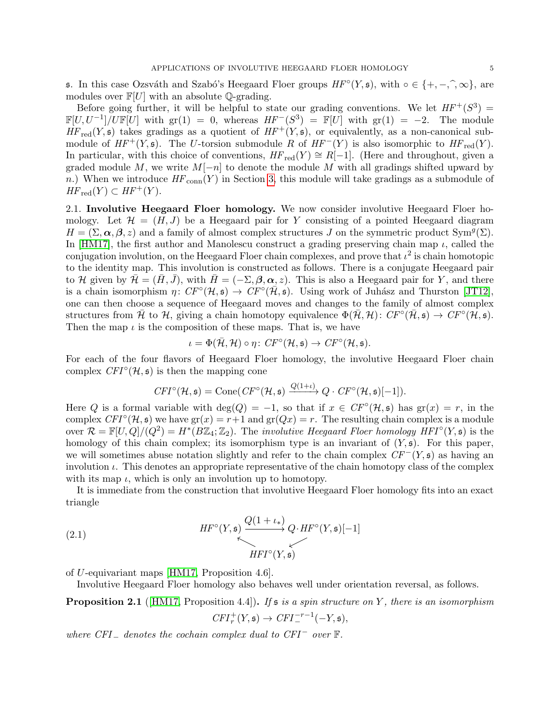s. In this case Ozsváth and Szabó's Heegaard Floer groups  $HF^{\circ}(Y, \mathfrak{s})$ , with  $\circ \in \{+, -, \hat{ }, \infty\}$ , are modules over  $\mathbb{F}[U]$  with an absolute O-grading modules over  $\mathbb{F}[U]$  with an absolute  $\mathbb{Q}$ -grading.

Before going further, it will be helpful to state our grading conventions. We let  $HF^+(S^3)$  =  $\mathbb{F}[U, U^{-1}] / U \mathbb{F}[U]$  with  $\text{gr}(1) = 0$ , whereas  $HF^{-}(S^{3}) = \mathbb{F}[U]$  with  $\text{gr}(1) = -2$ . The module  $HF_{red}(Y, \mathfrak{s})$  takes gradings as a quotient of  $HF^+(Y, \mathfrak{s})$ , or equivalently, as a non-canonical submodule of  $HF^+(Y, \mathfrak{s})$ . The U-torsion submodule R of  $HF^-(Y)$  is also isomorphic to  $HF_{red}(Y)$ . In particular, with this choice of conventions,  $HF_{red}(Y) \cong R[-1]$ . (Here and throughout, given a graded module M, we write  $M[-n]$  to denote the module M with all gradings shifted upward by n.) When we introduce  $HF_{conn}(Y)$  in Section [3,](#page-7-0) this module will take gradings as a submodule of  $HF_{red}(Y) \subset HF^+(Y)$ .

2.1. Involutive Heegaard Floer homology. We now consider involutive Heegaard Floer homology. Let  $\mathcal{H} = (H, J)$  be a Heegaard pair for Y consisting of a pointed Heegaard diagram  $H = (\Sigma, \alpha, \beta, z)$  and a family of almost complex structures J on the symmetric product Sym<sup>g</sup>( $\Sigma$ ). In [\[HM17\]](#page-31-2), the first author and Manolescu construct a grading preserving chain map  $\iota$ , called the conjugation involution, on the Heegaard Floer chain complexes, and prove that  $\iota^2$  is chain homotopic to the identity map. This involution is constructed as follows. There is a conjugate Heegaard pair to H given by  $\mathcal{H} = (H, J)$ , with  $H = (-\Sigma, \beta, \alpha, z)$ . This is also a Heegaard pair for Y, and there is a chain isomorphism  $\eta: CF^{\circ}(\mathcal{H}, \mathfrak{s}) \to CF^{\circ}(\mathcal{H}, \mathfrak{s})$ . Using work of Juhász and Thurston [\[JT12\]](#page-31-17), one can then choose a sequence of Heegaard moves and changes to the family of almost complex structures from  $\bar{\mathcal{H}}$  to  $\mathcal{H}$ , giving a chain homotopy equivalence  $\Phi(\bar{\mathcal{H}}, \mathcal{H})\colon CF^{\circ}(\bar{\mathcal{H}}, \mathfrak{s}) \to CF^{\circ}(\bar{\mathcal{H}}, \mathfrak{s}).$ Then the map  $\iota$  is the composition of these maps. That is, we have

$$
\iota = \Phi(\bar{\mathcal{H}}, \mathcal{H}) \circ \eta \colon CF^{\circ}(\mathcal{H}, \mathfrak{s}) \to CF^{\circ}(\mathcal{H}, \mathfrak{s}).
$$

For each of the four flavors of Heegaard Floer homology, the involutive Heegaard Floer chain complex  $CFT^{\circ}(\mathcal{H}, \mathfrak{s})$  is then the mapping cone

$$
CFI^{\circ}(\mathcal{H}, \mathfrak{s}) = \text{Cone}(CF^{\circ}(\mathcal{H}, \mathfrak{s}) \xrightarrow{Q(1+\iota)} Q \cdot CF^{\circ}(\mathcal{H}, \mathfrak{s})[-1]).
$$

Here Q is a formal variable with  $deg(Q) = -1$ , so that if  $x \in CF<sup>o</sup>(\mathcal{H}, \mathfrak{s})$  has  $gr(x) = r$ , in the complex  $CFI^{\circ}(\mathcal{H}, \mathfrak{s})$  we have  $gr(x) = r+1$  and  $gr(Qx) = r$ . The resulting chain complex is a module over  $\mathcal{R} = \mathbb{F}[U,Q]/(Q^2) = H^*(B\mathbb{Z}_4;\mathbb{Z}_2)$ . The *involutive Heegaard Floer homology HFI*<sup>°</sup> $(Y, \mathfrak{s})$  is the homology of this chain complex; its isomorphism type is an invariant of  $(Y, \mathfrak{s})$ . For this paper, we will sometimes abuse notation slightly and refer to the chain complex  $CF^-(Y, \mathfrak{s})$  as having an involution  $\iota$ . This denotes an appropriate representative of the chain homotopy class of the complex with its map  $\iota$ , which is only an involution up to homotopy.

It is immediate from the construction that involutive Heegaard Floer homology fits into an exact triangle

<span id="page-4-0"></span>(2.1) 
$$
HF^{\circ}(Y, \mathfrak{s}) \xrightarrow{\underset{\mathcal{C}}{Q(1 + \iota_{*})}} Q \cdot HF^{\circ}(Y, \mathfrak{s})[-1]
$$

of U-equivariant maps [\[HM17,](#page-31-2) Proposition 4.6].

Involutive Heegaard Floer homology also behaves well under orientation reversal, as follows.

<span id="page-4-1"></span>**Proposition 2.1** (HM17, Proposition 4.4). If  $\mathfrak{s}$  is a spin structure on Y, there is an isomorphism  $CFI_r^+(Y,\mathfrak{s}) \rightarrow CFI_-^{-r-1}(-Y,\mathfrak{s}),$ 

where 
$$
CFI_{-}
$$
 denotes the cochain complex dual to  $CFI^{-}$  over  $\mathbb{F}$ .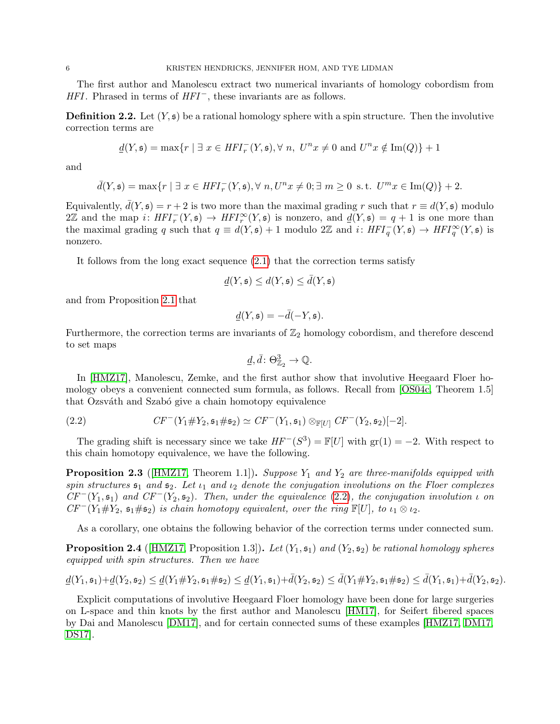The first author and Manolescu extract two numerical invariants of homology cobordism from  $HFI$ . Phrased in terms of  $HFI^-$ , these invariants are as follows.

**Definition 2.2.** Let  $(Y, \mathfrak{s})$  be a rational homology sphere with a spin structure. Then the involutive correction terms are

$$
\underline{d}(Y,\mathfrak{s}) = \max\{r \mid \exists x \in HFI_r^-(Y,\mathfrak{s}), \forall n, \ U^n x \neq 0 \text{ and } U^n x \notin \text{Im}(Q)\} + 1
$$

and

$$
\bar{d}(Y, \mathfrak{s}) = \max\{r \mid \exists\ x \in HFI^{-}_{r}(Y, \mathfrak{s}), \forall\ n, U^{n}x \neq 0; \exists\ m \geq 0\ \text{s.t.}\ U^{m}x \in \text{Im}(Q)\} + 2.
$$

Equivalently,  $\bar{d}(Y, \mathfrak{s}) = r + 2$  is two more than the maximal grading r such that  $r \equiv d(Y, \mathfrak{s})$  modulo  $2\mathbb{Z}$  and the map i:  $HFI_r^{-}(Y,\mathfrak{s}) \to HFI_r^{\infty}(Y,\mathfrak{s})$  is nonzero, and  $\underline{d}(Y,\mathfrak{s}) = q+1$  is one more than the maximal grading q such that  $q \equiv d(Y, \mathfrak{s}) + 1$  modulo 2Z and  $i: HFI_q^-(Y, \mathfrak{s}) \to HFI_q^{\infty}(Y, \mathfrak{s})$  is nonzero.

It follows from the long exact sequence [\(2.1\)](#page-4-0) that the correction terms satisfy

$$
\underline{d}(Y, \mathfrak{s}) \le d(Y, \mathfrak{s}) \le \overline{d}(Y, \mathfrak{s})
$$

and from Proposition [2.1](#page-4-1) that

$$
\underline{d}(Y, \mathfrak{s}) = -\overline{d}(-Y, \mathfrak{s}).
$$

Furthermore, the correction terms are invariants of  $\mathbb{Z}_2$  homology cobordism, and therefore descend to set maps

$$
\underline{d}, \bar{d} \colon \Theta^3_{\mathbb{Z}_2} \to \mathbb{Q}.
$$

In [\[HMZ17\]](#page-31-12), Manolescu, Zemke, and the first author show that involutive Heegaard Floer homology obeys a convenient connected sum formula, as follows. Recall from [\[OS04c,](#page-31-14) Theorem 1.5] that Ozsváth and Szabó give a chain homotopy equivalence

<span id="page-5-0"></span>(2.2) 
$$
CF^{-}(Y_1 \# Y_2, \mathfrak{s}_1 \# \mathfrak{s}_2) \simeq CF^{-}(Y_1, \mathfrak{s}_1) \otimes_{\mathbb{F}[U]} CF^{-}(Y_2, \mathfrak{s}_2)[-2].
$$

The grading shift is necessary since we take  $HF^-(S^3) = \mathbb{F}[U]$  with  $\text{gr}(1) = -2$ . With respect to this chain homotopy equivalence, we have the following.

<span id="page-5-1"></span>**Proposition 2.3** ([\[HMZ17,](#page-31-12) Theorem 1.1]). Suppose  $Y_1$  and  $Y_2$  are three-manifolds equipped with spin structures  $s_1$  and  $s_2$ . Let  $\iota_1$  and  $\iota_2$  denote the conjugation involutions on the Floer complexes  $CF^{-}(Y_1, \mathfrak{s}_1)$  and  $CF^{-}(Y_2, \mathfrak{s}_2)$ . Then, under the equivalence [\(2.2\)](#page-5-0), the conjugation involution  $\iota$  on  $CF^-(Y_1 \# Y_2, \mathfrak{s}_1 \# \mathfrak{s}_2)$  is chain homotopy equivalent, over the ring  $\mathbb{F}[U]$ , to  $\iota_1 \otimes \iota_2$ .

As a corollary, one obtains the following behavior of the correction terms under connected sum.

<span id="page-5-2"></span>**Proposition 2.4** (HMZ17, Proposition 1.3)). Let  $(Y_1, \mathfrak{s}_1)$  and  $(Y_2, \mathfrak{s}_2)$  be rational homology spheres equipped with spin structures. Then we have

$$
\underline{d}(Y_1,\mathfrak{s}_1)+\underline{d}(Y_2,\mathfrak{s}_2)\leq \underline{d}(Y_1\#Y_2,\mathfrak{s}_1\# \mathfrak{s}_2)\leq \underline{d}(Y_1,\mathfrak{s}_1)+\bar{d}(Y_2,\mathfrak{s}_2)\leq \bar{d}(Y_1\#Y_2,\mathfrak{s}_1\# \mathfrak{s}_2)\leq \bar{d}(Y_1,\mathfrak{s}_1)+\bar{d}(Y_2,\mathfrak{s}_2).
$$

Explicit computations of involutive Heegaard Floer homology have been done for large surgeries on L-space and thin knots by the first author and Manolescu [\[HM17\]](#page-31-2), for Seifert fibered spaces by Dai and Manolescu [\[DM17\]](#page-31-4), and for certain connected sums of these examples [\[HMZ17,](#page-31-12) [DM17,](#page-31-4) [DS17\]](#page-31-10).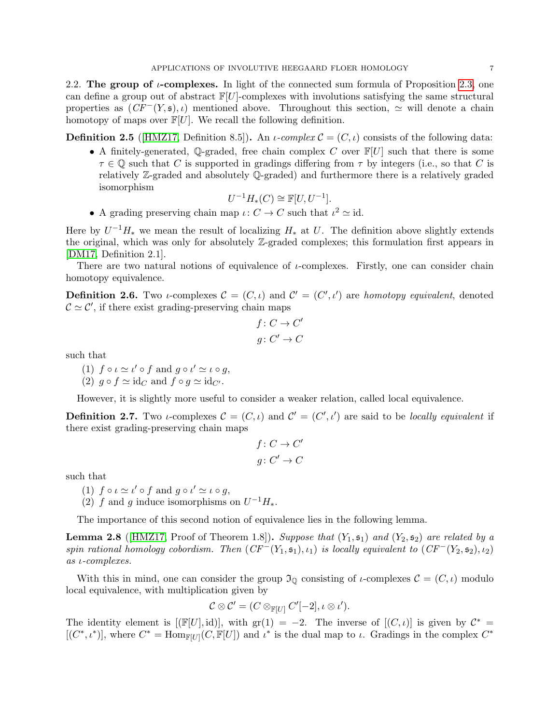2.2. The group of  $\iota$ -complexes. In light of the connected sum formula of Proposition [2.3,](#page-5-1) one can define a group out of abstract  $\mathbb{F}[U]$ -complexes with involutions satisfying the same structural properties as  $(CF^-(Y, \mathfrak{s}), \iota)$  mentioned above. Throughout this section,  $\simeq$  will denote a chain homotopy of maps over  $\mathbb{F}[U]$ . We recall the following definition.

**Definition 2.5** (HMZ17, Definition 8.5). An *ι-complex*  $\mathcal{C} = (C, \iota)$  consists of the following data:

• A finitely-generated, Q-graded, free chain complex C over  $\mathbb{F}[U]$  such that there is some  $\tau \in \mathbb{Q}$  such that C is supported in gradings differing from  $\tau$  by integers (i.e., so that C is relatively Z-graded and absolutely Q-graded) and furthermore there is a relatively graded isomorphism

$$
U^{-1}H_*(C) \cong \mathbb{F}[U, U^{-1}].
$$

• A grading preserving chain map  $\iota: C \to C$  such that  $\iota^2 \simeq id$ .

Here by  $U^{-1}H_*$  we mean the result of localizing  $H_*$  at U. The definition above slightly extends the original, which was only for absolutely Z-graded complexes; this formulation first appears in [\[DM17,](#page-31-4) Definition 2.1].

There are two natural notions of equivalence of  $\iota$ -complexes. Firstly, one can consider chain homotopy equivalence.

**Definition 2.6.** Two *i*-complexes  $\mathcal{C} = (C, \iota)$  and  $\mathcal{C}' = (C', \iota')$  are *homotopy equivalent*, denoted  $\mathcal{C} \simeq \mathcal{C}'$ , if there exist grading-preserving chain maps

$$
f: C \to C'
$$
  

$$
g: C' \to C
$$

such that

(1)  $f \circ \iota \simeq \iota' \circ f$  and  $g \circ \iota' \simeq \iota \circ g$ ,

(2)  $q \circ f \simeq id_C$  and  $f \circ q \simeq id_{C'}$ .

However, it is slightly more useful to consider a weaker relation, called local equivalence.

**Definition 2.7.** Two *i*-complexes  $\mathcal{C} = (C, \iota)$  and  $\mathcal{C}' = (C', \iota')$  are said to be *locally equivalent* if there exist grading-preserving chain maps

$$
f: C \to C'
$$
  

$$
g: C' \to C
$$

such that

- (1)  $f \circ \iota \simeq \iota' \circ f$  and  $g \circ \iota' \simeq \iota \circ g$ ,
- (2) f and g induce isomorphisms on  $U^{-1}H_*$ .

The importance of this second notion of equivalence lies in the following lemma.

<span id="page-6-0"></span>**Lemma 2.8** (HMZ17, Proof of Theorem 1.8)). Suppose that  $(Y_1, \mathfrak{s}_1)$  and  $(Y_2, \mathfrak{s}_2)$  are related by a spin rational homology cobordism. Then  $(CF^{-}(Y_1, \mathfrak{s}_1), \iota_1)$  is locally equivalent to  $(CF^{-}(Y_2, \mathfrak{s}_2), \iota_2)$ as ι-complexes.

With this in mind, one can consider the group  $\mathfrak{I}_{\mathbb{Q}}$  consisting of *ι*-complexes  $\mathcal{C} = (C, \iota)$  modulo local equivalence, with multiplication given by

$$
\mathcal{C}\otimes\mathcal{C}'=(C\otimes_{\mathbb{F}[U]}C'[-2],\iota\otimes\iota').
$$

The identity element is  $[(\mathbb{F}[U], id)]$ , with  $\text{gr}(1) = -2$ . The inverse of  $[(C, \iota)]$  is given by  $\mathcal{C}^* =$  $[(C^*,\iota^*)]$ , where  $C^* = \text{Hom}_{\mathbb{F}[U]}(C,\mathbb{F}[U])$  and  $\iota^*$  is the dual map to  $\iota$ . Gradings in the complex  $C^*$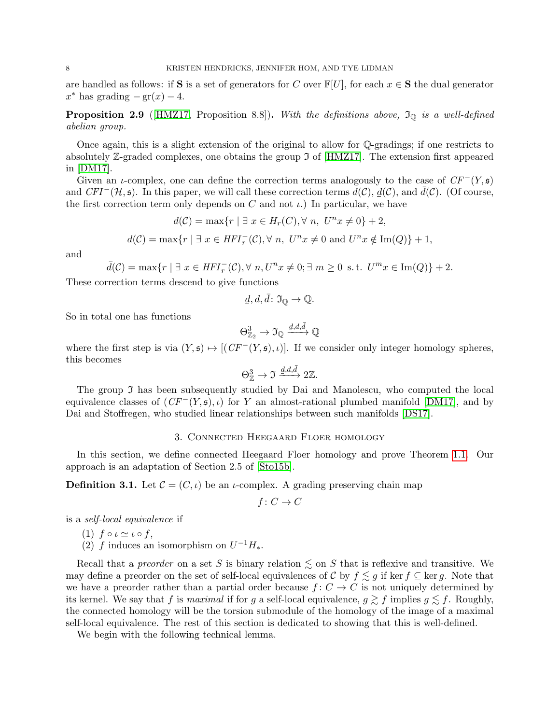are handled as follows: if S is a set of generators for C over  $\mathbb{F}[U]$ , for each  $x \in S$  the dual generator  $x^*$  has grading  $-\text{gr}(x) - 4$ .

**Proposition 2.9** ([\[HMZ17,](#page-31-12) Proposition 8.8]). With the definitions above,  $\mathfrak{I}_{\mathbb{Q}}$  is a well-defined abelian group.

Once again, this is a slight extension of the original to allow for Q-gradings; if one restricts to absolutely  $\mathbb{Z}$ -graded complexes, one obtains the group  $\mathfrak{I}$  of [\[HMZ17\]](#page-31-12). The extension first appeared in [\[DM17\]](#page-31-4).

Given an *ι*-complex, one can define the correction terms analogously to the case of  $CF^-(Y, \mathfrak{s})$ and  $CFI^{-}(\mathcal{H}, \mathfrak{s})$ . In this paper, we will call these correction terms  $d(\mathcal{C})$ ,  $d(\mathcal{C})$ , and  $d(\mathcal{C})$ . (Of course, the first correction term only depends on C and not  $\iota$ .) In particular, we have

$$
d(C) = \max\{r \mid \exists x \in H_r(C), \forall n, \ U^n x \neq 0\} + 2,
$$
  

$$
\underline{d}(C) = \max\{r \mid \exists x \in HFI_r^-(C), \forall n, \ U^n x \neq 0 \text{ and } U^n x \notin \text{Im}(Q)\} + 1,
$$

and

$$
\bar{d}(\mathcal{C}) = \max\{r \mid \exists x \in HFI_r^-(\mathcal{C}), \forall n, U^n x \neq 0; \exists m \geq 0 \text{ s.t. } U^m x \in \text{Im}(Q)\} + 2.
$$

These correction terms descend to give functions

$$
\underline{d}, \underline{d}, \overline{d} \colon \mathfrak{I}_{\mathbb{O}} \to \mathbb{Q}.
$$

So in total one has functions

$$
\Theta^3_{\mathbb{Z}_2}\to \mathfrak{I}_{\mathbb{Q}}\xrightarrow{d,d,\bar{d}}\mathbb{Q}
$$

where the first step is via  $(Y, \mathfrak{s}) \mapsto [(CF^-(Y, \mathfrak{s}), \iota)]$ . If we consider only integer homology spheres, this becomes

$$
\Theta^3_{\mathbb{Z}} \to \Im \xrightarrow{\underline{d}, d, \bar{d}} 2 \mathbb{Z}.
$$

The group  $\mathfrak I$  has been subsequently studied by Dai and Manolescu, who computed the local equivalence classes of  $(CF^-(Y, \mathfrak{s}), \iota)$  for Y an almost-rational plumbed manifold [\[DM17\]](#page-31-4), and by Dai and Stoffregen, who studied linear relationships between such manifolds [\[DS17\]](#page-31-10).

## 3. Connected Heegaard Floer homology

<span id="page-7-0"></span>In this section, we define connected Heegaard Floer homology and prove Theorem [1.1.](#page-0-0) Our approach is an adaptation of Section 2.5 of [\[Sto15b\]](#page-32-0).

**Definition 3.1.** Let  $\mathcal{C} = (C, \iota)$  be an *ι*-complex. A grading preserving chain map

$$
f\colon C\to C
$$

is a self-local equivalence if

- (1)  $f \circ \iota \simeq \iota \circ f$ ,
- (2) f induces an isomorphism on  $U^{-1}H_*$ .

Recall that a *preorder* on a set S is binary relation  $\lesssim$  on S that is reflexive and transitive. We may define a preorder on the set of self-local equivalences of C by  $f \leq g$  if ker  $f \subseteq \text{ker } g$ . Note that we have a preorder rather than a partial order because  $f: C \to C$  is not uniquely determined by its kernel. We say that f is maximal if for g a self-local equivalence,  $g \gtrsim f$  implies  $g \lesssim f$ . Roughly, the connected homology will be the torsion submodule of the homology of the image of a maximal self-local equivalence. The rest of this section is dedicated to showing that this is well-defined.

We begin with the following technical lemma.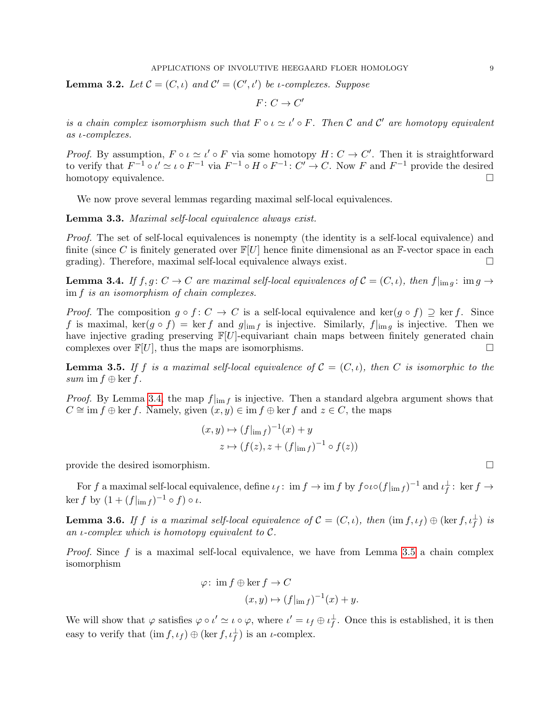<span id="page-8-2"></span>**Lemma 3.2.** Let  $C = (C, \iota)$  and  $C' = (C', \iota')$  be *ι*-complexes. Suppose

 $F\colon C\to C'$ 

is a chain complex isomorphism such that  $F \circ \iota \simeq \iota' \circ F$ . Then C and C' are homotopy equivalent as ι-complexes.

*Proof.* By assumption,  $F \circ \iota \simeq \iota' \circ F$  via some homotopy  $H: C \to C'$ . Then it is straightforward to verify that  $F^{-1} \circ \iota' \simeq \iota \circ F^{-1}$  via  $F^{-1} \circ H \circ F^{-1}$ :  $C' \to C$ . Now F and  $F^{-1}$  provide the desired homotopy equivalence.

We now prove several lemmas regarding maximal self-local equivalences.

Lemma 3.3. Maximal self-local equivalence always exist.

Proof. The set of self-local equivalences is nonempty (the identity is a self-local equivalence) and finite (since C is finitely generated over  $\mathbb{F}[U]$  hence finite dimensional as an F-vector space in each grading). Therefore, maximal self-local equivalence always exist.

<span id="page-8-0"></span>**Lemma 3.4.** If  $f, g: C \to C$  are maximal self-local equivalences of  $C = (C, \iota)$ , then  $f|_{\text{im } g}: \text{im } g \to C$ im f is an isomorphism of chain complexes.

*Proof.* The composition  $g \circ f : C \to C$  is a self-local equivalence and ker $(g \circ f) \supseteq \ker f$ . Since f is maximal,  $\ker(g \circ f) = \ker f$  and  $g|_{\text{im } f}$  is injective. Similarly,  $f|_{\text{im } g}$  is injective. Then we have injective grading preserving  $\mathbb{F}[U]$ -equivariant chain maps between finitely generated chain complexes over  $\mathbb{F}[U]$ , thus the maps are isomorphisms.

<span id="page-8-1"></span>**Lemma 3.5.** If f is a maximal self-local equivalence of  $C = (C, \iota)$ , then C is isomorphic to the sum im  $f \oplus \ker f$ .

*Proof.* By Lemma [3.4,](#page-8-0) the map  $f|_{\text{im } f}$  is injective. Then a standard algebra argument shows that  $C \cong \text{im } f \oplus \text{ker } f$ . Namely, given  $(x, y) \in \text{im } f \oplus \text{ker } f$  and  $z \in C$ , the maps

$$
(x,y) \mapsto (f|_{\text{im } f})^{-1}(x) + y
$$
  

$$
z \mapsto (f(z), z + (f|_{\text{im } f})^{-1} \circ f(z))
$$

provide the desired isomorphism.

For f a maximal self-local equivalence, define  $\iota_f: \text{ im } f \to \text{ im } f$  by  $f \circ \iota \circ (f|_{\text{im } f})^{-1}$  and  $\iota_f^{\perp}: \text{ ker } f \to$ ker  $f$  by  $(1 + (f|_{\text{im } f})^{-1} \circ f) \circ \iota$ .

<span id="page-8-3"></span>**Lemma 3.6.** If f is a maximal self-local equivalence of  $C = (C, \iota)$ , then  $(\text{im } f, \iota_f) \oplus (\text{ker } f, \iota_f^{\perp})$  is an *ι*-complex which is homotopy equivalent to  $\mathcal{C}$ .

*Proof.* Since f is a maximal self-local equivalence, we have from Lemma [3.5](#page-8-1) a chain complex isomorphism

$$
\varphi: \text{ im } f \oplus \ker f \to C
$$

$$
(x, y) \mapsto (f|_{\text{im } f})^{-1}(x) + y.
$$

We will show that  $\varphi$  satisfies  $\varphi \circ \iota' \simeq \iota \circ \varphi$ , where  $\iota' = \iota_f \oplus \iota_f^{\perp}$ . Once this is established, it is then easy to verify that  $(\text{im } f, \iota_f) \oplus (\text{ker } f, \iota_f^{\perp})$  is an *ι*-complex.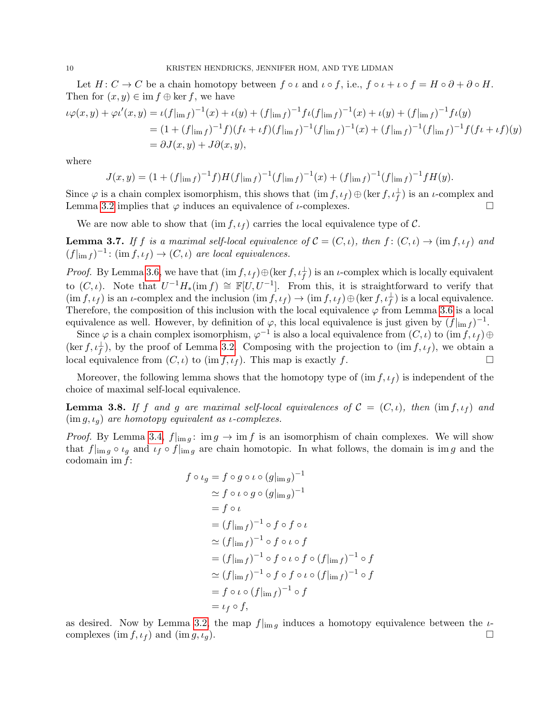Let  $H: C \to C$  be a chain homotopy between  $f \circ \iota$  and  $\iota \circ f$ , i.e.,  $f \circ \iota + \iota \circ f = H \circ \partial + \partial \circ H$ . Then for  $(x, y) \in \text{im } f \oplus \text{ker } f$ , we have

$$
\iota \varphi(x, y) + \varphi \iota'(x, y) = \iota(f|_{\text{im } f})^{-1}(x) + \iota(y) + (f|_{\text{im } f})^{-1} f \iota(f|_{\text{im } f})^{-1}(x) + \iota(y) + (f|_{\text{im } f})^{-1} f \iota(y)
$$
  
=  $(1 + (f|_{\text{im } f})^{-1} f)(f \iota + \iota f)(f|_{\text{im } f})^{-1}(f|_{\text{im } f})^{-1}(x) + (f|_{\text{im } f})^{-1}(f|_{\text{im } f})^{-1} f (f \iota + \iota f)(y)$   
=  $\partial J(x, y) + J \partial(x, y),$ 

where

$$
J(x,y) = (1 + (f_{\text{lim }f})^{-1}f)H(f_{\text{lim }f})^{-1}(f_{\text{lim }f})^{-1}(x) + (f_{\text{lim }f})^{-1}(f_{\text{lim }f})^{-1}fH(y).
$$

Since  $\varphi$  is a chain complex isomorphism, this shows that  $(\mathrm{im } f, \iota_f) \oplus (\mathrm{ker } f, \iota_f^{\perp})$  is an *t*-complex and Lemma [3.2](#page-8-2) implies that  $\varphi$  induces an equivalence of *ι*-complexes.

We are now able to show that  $(\text{im } f, \iota_f)$  carries the local equivalence type of C.

<span id="page-9-1"></span>**Lemma 3.7.** If f is a maximal self-local equivalence of  $C = (C, \iota)$ , then  $f : (C, \iota) \to (\text{im } f, \iota_f)$  and  $(f|_{\text{im }f})^{-1}$ :  $(\text{im }f, \iota_f) \rightarrow (C, \iota)$  are local equivalences.

*Proof.* By Lemma [3.6,](#page-8-3) we have that  $(\text{im } f, \iota_f) \oplus (\text{ker } f, \iota_f^{\perp})$  is an *t*-complex which is locally equivalent to  $(C, \iota)$ . Note that  $U^{-1}H_*(\text{im } f) \cong \mathbb{F}[U, U^{-1}]$ . From this, it is straightforward to verify that  $(\text{im } f, \iota_f)$  is an *ι*-complex and the inclusion  $(\text{im } f, \iota_f) \to (\text{im } f, \iota_f) \oplus (\text{ker } f, \iota_f^{\perp})$  is a local equivalence. Therefore, the composition of this inclusion with the local equivalence  $\varphi$  from Lemma [3.6](#page-8-3) is a local equivalence as well. However, by definition of  $\varphi$ , this local equivalence is just given by  $(f|_{\text{im }f})^{-1}$ .

Since  $\varphi$  is a chain complex isomorphism,  $\varphi^{-1}$  is also a local equivalence from  $(C, \iota)$  to  $(\text{im } f, \iota_f) \oplus$  $(\ker f, \iota_f^{\perp})$ , by the proof of Lemma [3.2.](#page-8-2) Composing with the projection to  $(\mathrm{im } f, \iota_f)$ , we obtain a local equivalence from  $(C, \iota)$  to  $(\text{im } f, \iota_f)$ . This map is exactly f.

Moreover, the following lemma shows that the homotopy type of  $(\text{im } f, \iota_f)$  is independent of the choice of maximal self-local equivalence.

<span id="page-9-0"></span>**Lemma 3.8.** If f and g are maximal self-local equivalences of  $C = (C, \iota)$ , then  $(\text{im } f, \iota_f)$  and  $(\text{im } q, \iota_q)$  are homotopy equivalent as *ι*-complexes.

*Proof.* By Lemma [3.4,](#page-8-0)  $f|_{\text{im }q}$ : im  $q \to \text{im } f$  is an isomorphism of chain complexes. We will show that  $f|_{\text{img}} \circ \iota_g$  and  $\iota_f \circ f|_{\text{img}}$  are chain homotopic. In what follows, the domain is im g and the codomain im f:

$$
f \circ \iota_g = f \circ g \circ \iota \circ (g|_{\text{im } g})^{-1}
$$
  
\n
$$
\simeq f \circ \iota \circ g \circ (g|_{\text{im } g})^{-1}
$$
  
\n
$$
= f \circ \iota
$$
  
\n
$$
= (f|_{\text{im } f})^{-1} \circ f \circ f \circ \iota
$$
  
\n
$$
\simeq (f|_{\text{im } f})^{-1} \circ f \circ \iota \circ f
$$
  
\n
$$
= (f|_{\text{im } f})^{-1} \circ f \circ \iota \circ f \circ (f|_{\text{im } f})^{-1} \circ f
$$
  
\n
$$
\simeq (f|_{\text{im } f})^{-1} \circ f \circ f \circ \iota \circ (f|_{\text{im } f})^{-1} \circ f
$$
  
\n
$$
= f \circ \iota \circ (f|_{\text{im } f})^{-1} \circ f
$$
  
\n
$$
= \iota_f \circ f,
$$

as desired. Now by Lemma [3.2,](#page-8-2) the map  $f|_{\text{im }q}$  induces a homotopy equivalence between the  $\iota$ complexes  $(\text{im } f, \iota_f)$  and  $(\text{im } g, \iota_g)$ .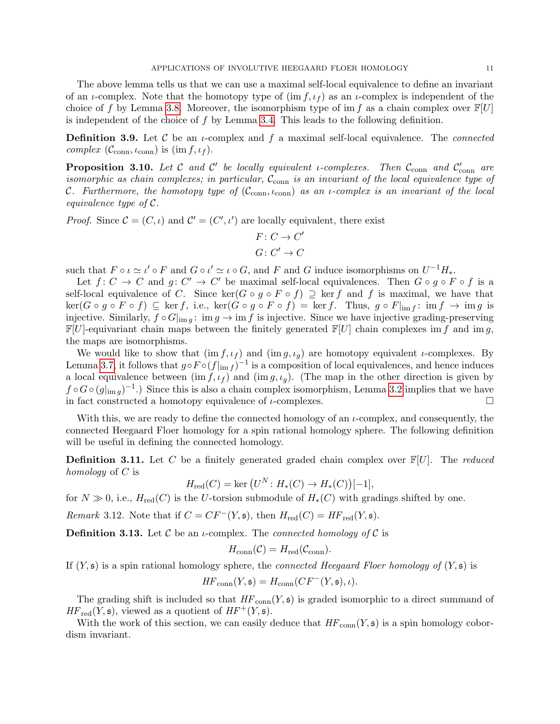The above lemma tells us that we can use a maximal self-local equivalence to define an invariant of an *ι*-complex. Note that the homotopy type of  $(\text{im } f, \iota_f)$  as an *ι*-complex is independent of the choice of f by Lemma [3.8.](#page-9-0) Moreover, the isomorphism type of im f as a chain complex over  $\mathbb{F}[U]$ is independent of the choice of  $f$  by Lemma [3.4.](#page-8-0) This leads to the following definition.

**Definition 3.9.** Let C be an  $\iota$ -complex and f a maximal self-local equivalence. The *connected* complex  $(\mathcal{C}_{conn}, \iota_{conn})$  is  $(\text{im } f, \iota_f)$ .

<span id="page-10-0"></span>**Proposition 3.10.** Let C and C' be locally equivalent *i*-complexes. Then  $C_{\text{conn}}$  and  $C'_{\text{conn}}$  are isomorphic as chain complexes; in particular,  $\mathcal{C}_{conn}$  is an invariant of the local equivalence type of C. Furthermore, the homotopy type of  $(\mathcal{C}_{conn}, \iota_{conn})$  as an *i*-complex is an invariant of the local equivalence type of C.

*Proof.* Since  $\mathcal{C} = (C, \iota)$  and  $\mathcal{C}' = (C', \iota')$  are locally equivalent, there exist

$$
F: C \to C'
$$
  

$$
G: C' \to C
$$

such that  $F \circ \iota \simeq \iota' \circ F$  and  $G \circ \iota' \simeq \iota \circ G$ , and  $F$  and  $G$  induce isomorphisms on  $U^{-1}H_*$ .

Let  $f: C \to C$  and  $g: C' \to C'$  be maximal self-local equivalences. Then  $G \circ g \circ F \circ f$  is a self-local equivalence of C. Since  $\ker(G \circ g \circ F \circ f) \supseteq \ker f$  and f is maximal, we have that  $\ker(G \circ g \circ F \circ f) \subseteq \ker f$ , i.e.,  $\ker(G \circ g \circ F \circ f) = \ker f$ . Thus,  $g \circ F|_{\text{im }f}$ :  $\lim f \to \lim g$  is injective. Similarly,  $f \circ G|_{\text{im } q}$ : im  $g \to \text{im } f$  is injective. Since we have injective grading-preserving  $\mathbb{F}[U]$ -equivariant chain maps between the finitely generated  $\mathbb{F}[U]$  chain complexes im f and im g, the maps are isomorphisms.

We would like to show that  $(\text{im } f, \iota_f)$  and  $(\text{im } g, \iota_g)$  are homotopy equivalent *ι*-complexes. By Lemma [3.7,](#page-9-1) it follows that  $g \circ F \circ (f|_{\text{im } f})^{-1}$  is a composition of local equivalences, and hence induces a local equivalence between  $(\text{im } f, \iota_f)$  and  $(\text{im } g, \iota_g)$ . (The map in the other direction is given by  $f \circ G \circ (g|_{\text{im } g})^{-1}$ .) Since this is also a chain complex isomorphism, Lemma [3.2](#page-8-2) implies that we have in fact constructed a homotopy equivalence of  $\iota$ -complexes.

With this, we are ready to define the connected homology of an  $\iota$ -complex, and consequently, the connected Heegaard Floer homology for a spin rational homology sphere. The following definition will be useful in defining the connected homology.

**Definition 3.11.** Let C be a finitely generated graded chain complex over  $\mathbb{F}[U]$ . The *reduced* homology of  $C$  is

$$
H_{\text{red}}(C) = \text{ker}(U^N: H_*(C) \to H_*(C))[-1],
$$

for  $N \gg 0$ , i.e.,  $H_{red}(C)$  is the U-torsion submodule of  $H_*(C)$  with gradings shifted by one.

*Remark* 3.12. Note that if  $C = CF^{-}(Y, \mathfrak{s})$ , then  $H_{red}(C) = HF_{red}(Y, \mathfrak{s})$ .

**Definition 3.13.** Let C be an *u*-complex. The *connected homology of* C is

$$
H_{\text{conn}}(\mathcal{C}) = H_{\text{red}}(\mathcal{C}_{\text{conn}}).
$$

If  $(Y, \mathfrak{s})$  is a spin rational homology sphere, the *connected Heegaard Floer homology of*  $(Y, \mathfrak{s})$  is

$$
HF_{\text{conn}}(Y, \mathfrak{s}) = H_{\text{conn}}(CF^-(Y, \mathfrak{s}), \iota).
$$

The grading shift is included so that  $HF_{conn}(Y, \mathfrak{s})$  is graded isomorphic to a direct summand of  $HF_{red}(Y, \mathfrak{s})$ , viewed as a quotient of  $HF^+(Y, \mathfrak{s})$ .

With the work of this section, we can easily deduce that  $HF_{conn}(Y, \mathfrak{s})$  is a spin homology cobordism invariant.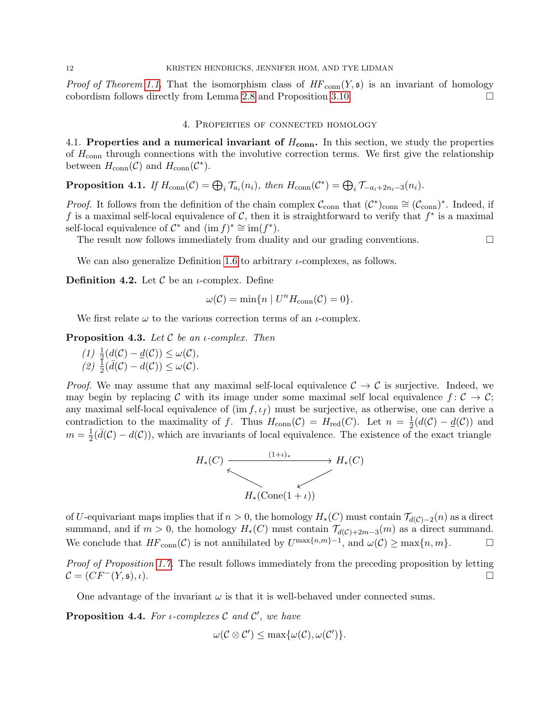*Proof of Theorem [1.1.](#page-0-0)* That the isomorphism class of  $HF_{conn}(Y, \mathfrak{s})$  is an invariant of homology cobordism follows directly from Lemma [2.8](#page-6-0) and Proposition [3.10.](#page-10-0)

### 4. Properties of connected homology

<span id="page-11-0"></span>4.1. Properties and a numerical invariant of  $H_{conn}$ . In this section, we study the properties of  $H_{\text{conn}}$  through connections with the involutive correction terms. We first give the relationship between  $H_{\text{conn}}(\mathcal{C})$  and  $H_{\text{conn}}(\mathcal{C}^*)$ .

<span id="page-11-3"></span>**Proposition 4.1.** If  $H_{conn}(\mathcal{C}) = \bigoplus_i \mathcal{T}_{a_i}(n_i)$ , then  $H_{conn}(\mathcal{C}^*) = \bigoplus_i \mathcal{T}_{-a_i+2n_i-3}(n_i)$ .

*Proof.* It follows from the definition of the chain complex  $\mathcal{C}_{conn}$  that  $(\mathcal{C}^*)_{conn} \cong (\mathcal{C}_{conn})^*$ . Indeed, if f is a maximal self-local equivalence of  $\mathcal{C}$ , then it is straightforward to verify that  $f^*$  is a maximal self-local equivalence of  $\mathcal{C}^*$  and  $(\text{im } f)^* \cong \text{im}(f^*).$ 

The result now follows immediately from duality and our grading conventions.

We can also generalize Definition [1.6](#page-1-1) to arbitrary  $\iota$ -complexes, as follows.

**Definition 4.2.** Let  $\mathcal C$  be an *ι*-complex. Define

$$
\omega(\mathcal{C}) = \min\{n \mid U^n H_{\text{conn}}(\mathcal{C}) = 0\}.
$$

We first relate  $\omega$  to the various correction terms of an *ι*-complex.

<span id="page-11-2"></span>**Proposition 4.3.** Let C be an *i*-complex. Then

(1)  $\frac{1}{2}(d(\mathcal{C}) - d(\mathcal{C})) \leq \omega(\mathcal{C}),$ (2)  $\frac{1}{2}(\bar{d}(\mathcal{C}) - d(\mathcal{C})) \leq \omega(\mathcal{C}).$ 

*Proof.* We may assume that any maximal self-local equivalence  $C \rightarrow C$  is surjective. Indeed, we may begin by replacing C with its image under some maximal self local equivalence  $f: \mathcal{C} \to \mathcal{C}$ ; any maximal self-local equivalence of  $(\text{im } f, \iota_f)$  must be surjective, as otherwise, one can derive a contradiction to the maximality of f. Thus  $H_{conn}(\mathcal{C}) = H_{red}(C)$ . Let  $n = \frac{1}{2}$  $\frac{1}{2}(d(\mathcal{C}) - \underline{d}(\mathcal{C}))$  and  $m=\frac{1}{2}$  $\frac{1}{2}(\bar{d}(\mathcal{C})-d(\mathcal{C}))$ , which are invariants of local equivalence. The existence of the exact triangle



of U-equivariant maps implies that if  $n > 0$ , the homology  $H_*(C)$  must contain  $\mathcal{T}_{d(C)-2}(n)$  as a direct summand, and if  $m > 0$ , the homology  $H_*(C)$  must contain  $\mathcal{T}_{d(C)+2m-3}(m)$  as a direct summand. We conclude that  $HF_{conn}(\mathcal{C})$  is not annihilated by  $U^{\max\{n,m\}-1}$ , and  $\omega(\mathcal{C}) \ge \max\{n,m\}.$ 

Proof of Proposition [1.7.](#page-1-2) The result follows immediately from the preceding proposition by letting  $\mathcal{C} = (CF^{-}(Y, \mathfrak{s}), \iota).$ 

One advantage of the invariant  $\omega$  is that it is well-behaved under connected sums.

<span id="page-11-1"></span>**Proposition 4.4.** For *i*-complexes  $\mathcal C$  and  $\mathcal C'$ , we have

$$
\omega(\mathcal{C}\otimes\mathcal{C}')\leq \max\{\omega(\mathcal{C}),\omega(\mathcal{C}')\}.
$$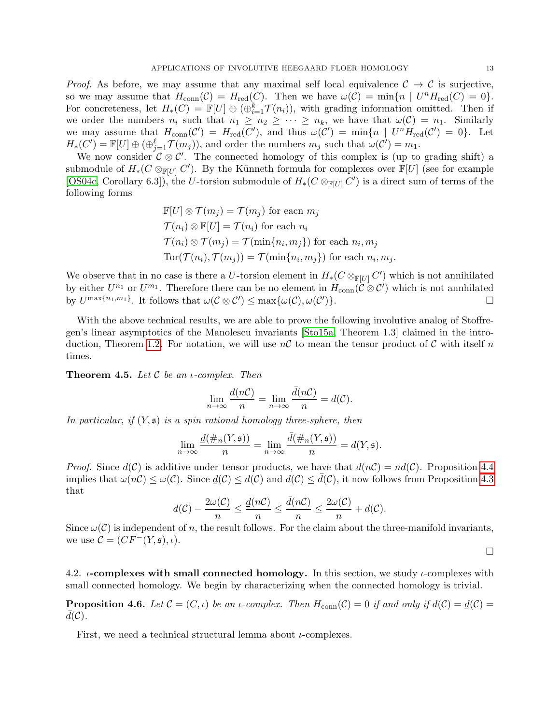*Proof.* As before, we may assume that any maximal self local equivalence  $C \rightarrow C$  is surjective, so we may assume that  $H_{conn}(\mathcal{C}) = H_{red}(C)$ . Then we have  $\omega(\mathcal{C}) = \min\{n \mid U^n H_{red}(C) = 0\}.$ For concreteness, let  $H_*(C) = \mathbb{F}[U] \oplus (\oplus_{i=1}^k \mathcal{T}(n_i))$ , with grading information omitted. Then if we order the numbers  $n_i$  such that  $n_1 \geq n_2 \geq \cdots \geq n_k$ , we have that  $\omega(\mathcal{C}) = n_1$ . Similarly we may assume that  $H_{conn}(\mathcal{C}') = H_{red}(C')$ , and thus  $\omega(\mathcal{C}') = \min\{n \mid U^n H_{red}(\mathcal{C}') = 0\}$ . Let  $H_*(C') = \mathbb{F}[U] \oplus (\bigoplus_{j=1}^{\ell} \mathcal{T}(m_j))$ , and order the numbers  $m_j$  such that  $\omega(C') = m_1$ .

We now consider  $\mathcal{C} \otimes \mathcal{C}'$ . The connected homology of this complex is (up to grading shift) a submodule of  $H_*(C \otimes_{\mathbb{F}[U]} C')$ . By the Künneth formula for complexes over  $\mathbb{F}[U]$  (see for example [\[OS04c,](#page-31-14) Corollary 6.3]), the U-torsion submodule of  $H_*(C \otimes_{\mathbb{F}[U]} C')$  is a direct sum of terms of the following forms

$$
\mathbb{F}[U] \otimes \mathcal{T}(m_j) = \mathcal{T}(m_j)
$$
 for each  $m_j$   
\n
$$
\mathcal{T}(n_i) \otimes \mathbb{F}[U] = \mathcal{T}(n_i)
$$
 for each  $n_i$   
\n
$$
\mathcal{T}(n_i) \otimes \mathcal{T}(m_j) = \mathcal{T}(\min\{n_i, m_j\})
$$
 for each  $n_i, m_j$   
\n
$$
\text{Tor}(\mathcal{T}(n_i), \mathcal{T}(m_j)) = \mathcal{T}(\min\{n_i, m_j\})
$$
 for each  $n_i, m_j$ .

We observe that in no case is there a U-torsion element in  $H_*(C \otimes_{\mathbb{F}[U]} C')$  which is not annihilated by either  $U^{n_1}$  or  $U^{m_1}$ . Therefore there can be no element in  $H_{conn}(\mathcal{C} \otimes \mathcal{C}')$  which is not annhilated by  $U^{\max\{n_1,m_1\}}$ . It follows that  $\omega(\mathcal{C}\otimes\mathcal{C}')\leq \max\{\omega(\mathcal{C}),\omega(\mathcal{C}')\}$  $)\}.$ 

With the above technical results, we are able to prove the following involutive analog of Stoffregen's linear asymptotics of the Manolescu invariants [\[Sto15a,](#page-32-1) Theorem 1.3] claimed in the intro-duction, Theorem [1.2.](#page-1-3) For notation, we will use  $n\mathcal{C}$  to mean the tensor product of  $\mathcal{C}$  with itself n times.

**Theorem 4.5.** Let  $C$  be an *i*-complex. Then

$$
\lim_{n \to \infty} \frac{d(nC)}{n} = \lim_{n \to \infty} \frac{\bar{d}(nC)}{n} = d(C).
$$

In particular, if  $(Y, \mathfrak{s})$  is a spin rational homology three-sphere, then

$$
\lim_{n\to\infty}\frac{\underline{d}(\#_n(Y, \mathfrak{s}))}{n}=\lim_{n\to\infty}\frac{\bar{d}(\#_n(Y, \mathfrak{s}))}{n}=d(Y, \mathfrak{s}).
$$

*Proof.* Since  $d(C)$  is additive under tensor products, we have that  $d(nC) = nd(C)$ . Proposition [4.4](#page-11-1) implies that  $\omega(n\mathcal{C}) \leq \omega(\mathcal{C})$ . Since  $d(\mathcal{C}) \leq d(\mathcal{C})$  and  $d(\mathcal{C}) \leq d(\mathcal{C})$ , it now follows from Proposition [4.3](#page-11-2) that

$$
d(\mathcal{C}) - \frac{2\omega(\mathcal{C})}{n} \le \frac{d(n\mathcal{C})}{n} \le \frac{\bar{d}(n\mathcal{C})}{n} \le \frac{2\omega(\mathcal{C})}{n} + d(\mathcal{C}).
$$

Since  $\omega(\mathcal{C})$  is independent of n, the result follows. For the claim about the three-manifold invariants, we use  $\mathcal{C} = (CF^{-}(Y, \mathfrak{s}), \iota).$ 

 $\Box$ 

4.2.  $\iota$ -complexes with small connected homology. In this section, we study  $\iota$ -complexes with small connected homology. We begin by characterizing when the connected homology is trivial.

<span id="page-12-0"></span>**Proposition 4.6.** Let  $\mathcal{C} = (C, \iota)$  be an  $\iota$ -complex. Then  $H_{conn}(\mathcal{C}) = 0$  if and only if  $d(\mathcal{C}) = d(\mathcal{C}) =$  $d(\mathcal{C})$ .

First, we need a technical structural lemma about  $\iota$ -complexes.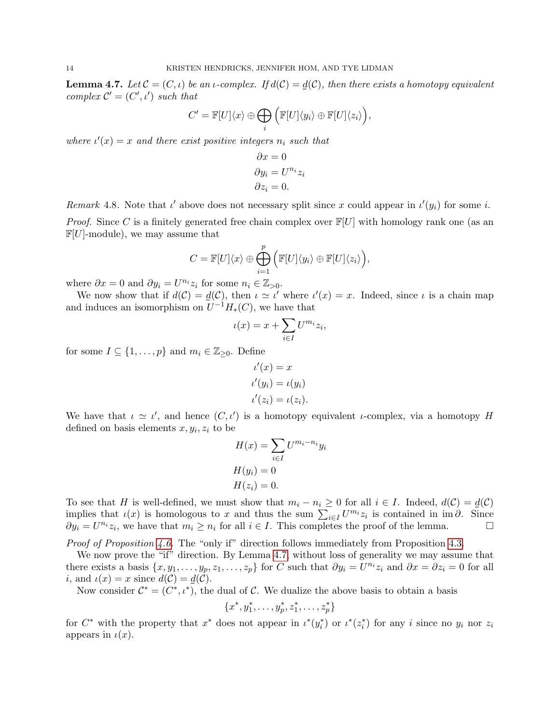<span id="page-13-0"></span>**Lemma 4.7.** Let  $\mathcal{C} = (C, \iota)$  be an  $\iota$ -complex. If  $d(\mathcal{C}) = \underline{d}(\mathcal{C})$ , then there exists a homotopy equivalent complex  $\mathcal{C}' = (C', \iota')$  such that

$$
C' = \mathbb{F}[U]\langle x \rangle \oplus \bigoplus_i \Big(\mathbb{F}[U]\langle y_i \rangle \oplus \mathbb{F}[U]\langle z_i \rangle\Big),
$$

where  $\iota'(x) = x$  and there exist positive integers  $n_i$  such that

$$
\partial x = 0
$$
  
\n
$$
\partial y_i = U^{n_i} z_i
$$
  
\n
$$
\partial z_i = 0.
$$

Remark 4.8. Note that  $\iota'$  above does not necessary split since x could appear in  $\iota'(y_i)$  for some i.

*Proof.* Since C is a finitely generated free chain complex over  $\mathbb{F}[U]$  with homology rank one (as an  $\mathbb{F}[U]$ -module), we may assume that

$$
C = \mathbb{F}[U](x) \oplus \bigoplus_{i=1}^p \Big( \mathbb{F}[U](y_i) \oplus \mathbb{F}[U](z_i) \Big),
$$

where  $\partial x = 0$  and  $\partial y_i = U^{n_i} z_i$  for some  $n_i \in \mathbb{Z}_{>0}$ .

We now show that if  $d(C) = \underline{d}(C)$ , then  $\iota \simeq \iota'$  where  $\iota'(x) = x$ . Indeed, since  $\iota$  is a chain map and induces an isomorphism on  $U^{-1}H_*(C)$ , we have that

$$
\iota(x) = x + \sum_{i \in I} U^{m_i} z_i,
$$

for some  $I \subseteq \{1, \ldots, p\}$  and  $m_i \in \mathbb{Z}_{\geq 0}$ . Define

$$
\iota'(x) = x
$$
  
\n
$$
\iota'(y_i) = \iota(y_i)
$$
  
\n
$$
\iota'(z_i) = \iota(z_i).
$$

We have that  $\iota \simeq \iota'$ , and hence  $(C, \iota')$  is a homotopy equivalent  $\iota$ -complex, via a homotopy H defined on basis elements  $x, y_i, z_i$  to be

$$
H(x) = \sum_{i \in I} U^{m_i - n_i} y_i
$$

$$
H(y_i) = 0
$$

$$
H(z_i) = 0.
$$

To see that H is well-defined, we must show that  $m_i - n_i \geq 0$  for all  $i \in I$ . Indeed,  $d(C) = d(C)$ implies that  $\iota(x)$  is homologous to x and thus the sum  $\sum_{i\in I} U^{m_i}z_i$  is contained in im $\partial$ . Since  $\partial y_i = U^{n_i} z_i$ , we have that  $m_i \geq n_i$  for all  $i \in I$ . This completes the proof of the lemma.

Proof of Proposition [4.6.](#page-12-0) The "only if" direction follows immediately from Proposition [4.3.](#page-11-2)

We now prove the "if" direction. By Lemma [4.7,](#page-13-0) without loss of generality we may assume that there exists a basis  $\{x, y_1, \ldots, y_p, z_1, \ldots, z_p\}$  for C such that  $\partial y_i = U^{n_i} z_i$  and  $\partial x = \partial z_i = 0$  for all *i*, and  $\iota(x) = x$  since  $d(C) = d(C)$ .

Now consider  $\mathcal{C}^* = (C^*, \iota^*)$ , the dual of C. We dualize the above basis to obtain a basis

$$
\{x^*, y_1^*, \ldots, y_p^*, z_1^*, \ldots, z_p^*\}
$$

for  $C^*$  with the property that  $x^*$  does not appear in  $\iota^*(y_i^*)$  or  $\iota^*(z_i^*)$  for any i since no  $y_i$  nor  $z_i$ appears in  $\iota(x)$ .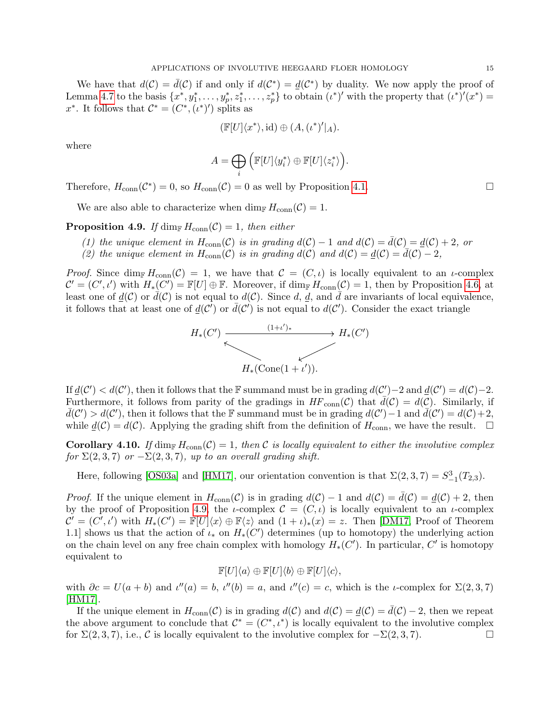We have that  $d(C) = \overline{d}(C)$  if and only if  $d(C^*) = \underline{d}(C^*)$  by duality. We now apply the proof of Lemma [4.7](#page-13-0) to the basis  $\{x^*, y_1^*, \ldots, y_p^*, z_1^*, \ldots, z_p^*\}$  to obtain  $(\iota^*)'$  with the property that  $(\iota^*)'(x^*)$  = x<sup>\*</sup>. It follows that  $\mathcal{C}^* = (C^*, (\iota^*)')$  splits as

$$
(\mathbb{F}[U]\langle x^*\rangle, \mathrm{id}) \oplus (A, (\iota^*)'|_A).
$$

where

$$
A=\bigoplus_i \Big(\mathbb{F}[U]\langle y_i^*\rangle \oplus \mathbb{F}[U]\langle z_i^*\rangle\Big).
$$

Therefore,  $H_{conn}(\mathcal{C}^*) = 0$ , so  $H_{conn}(\mathcal{C}) = 0$  as well by Proposition [4.1.](#page-11-3)

We are also able to characterize when  $\dim_{\mathbb{F}} H_{conn}(\mathcal{C}) = 1$ .

<span id="page-14-0"></span>**Proposition 4.9.** If dim<sub>F</sub>  $H_{conn}(\mathcal{C}) = 1$ , then either

- (1) the unique element in  $H_{conn}(\mathcal{C})$  is in grading  $d(\mathcal{C}) 1$  and  $d(\mathcal{C}) = d(\mathcal{C}) 2$ , or
- (2) the unique element in  $H_{conn}(\mathcal{C})$  is in grading  $d(\mathcal{C})$  and  $d(\mathcal{C}) = \underline{d}(\mathcal{C}) \overline{d}(\mathcal{C}) 2$ ,

Proof. Since dim<sub>F</sub>  $H_{conn}(\mathcal{C}) = 1$ , we have that  $\mathcal{C} = (C, \iota)$  is locally equivalent to an  $\iota$ -complex  $\mathcal{C}' = (C', \iota')$  with  $H_*(C') = \mathbb{F}[U] \oplus \mathbb{F}$ . Moreover, if  $\dim_{\mathbb{F}} H_{conn}(\mathcal{C}) = 1$ , then by Proposition [4.6,](#page-12-0) at least one of  $d(C)$  or  $d(C)$  is not equal to  $d(C)$ . Since d, d, and d are invariants of local equivalence, it follows that at least one of  $\underline{d}(\mathcal{C}^{\prime})$  or  $\overline{d}(\mathcal{C}^{\prime})$  is not equal to  $d(\mathcal{C}^{\prime})$ . Consider the exact triangle



If  $\underline{d}(\mathcal{C}') < d(\mathcal{C}')$ , then it follows that the F summand must be in grading  $d(\mathcal{C}')-2$  and  $\underline{d}(\mathcal{C}')=d(\mathcal{C})-2$ . Furthermore, it follows from parity of the gradings in  $HF_{conn}(\mathcal{C})$  that  $\bar{d}(\mathcal{C}) = d(\mathcal{C})$ . Similarly, if  $d(C') > d(C')$ , then it follows that the F summand must be in grading  $d(C') - 1$  and  $\overline{d}(C') = d(C) + 2$ , while  $\underline{d}(\mathcal{C}) = d(\mathcal{C})$ . Applying the grading shift from the definition of  $H_{conn}$ , we have the result.  $\square$ 

<span id="page-14-1"></span>**Corollary 4.10.** If  $\dim_{\mathbb{F}} H_{conn}(\mathcal{C}) = 1$ , then C is locally equivalent to either the involutive complex for  $\Sigma(2,3,7)$  or  $-\Sigma(2,3,7)$ , up to an overall grading shift.

Here, following [\[OS03a\]](#page-31-16) and [\[HM17\]](#page-31-2), our orientation convention is that  $\Sigma(2,3,7) = S^3_{-1}(T_{2,3})$ .

*Proof.* If the unique element in  $H_{conn}(\mathcal{C})$  is in grading  $d(\mathcal{C}) - 1$  and  $d(\mathcal{C}) = d(\mathcal{C}) + 2$ , then by the proof of Proposition [4.9,](#page-14-0) the *ι*-complex  $\mathcal{C} = (C, \iota)$  is locally equivalent to an *ι*-complex  $\mathcal{C}' = (C', \iota')$  with  $H_*(C') = \mathbb{F}[U]\langle x \rangle \oplus \mathbb{F}\langle z \rangle$  and  $(1 + \iota)_*(x) = z$ . Then [\[DM17,](#page-31-4) Proof of Theorem 1.1] shows us that the action of  $\iota_*$  on  $H_*(C')$  determines (up to homotopy) the underlying action on the chain level on any free chain complex with homology  $H_*(C')$ . In particular, C' is homotopy equivalent to

$$
\mathbb{F}[U]\langle a\rangle \oplus \mathbb{F}[U]\langle b\rangle \oplus \mathbb{F}[U]\langle c\rangle,
$$

with  $\partial c = U(a + b)$  and  $\iota''(a) = b$ ,  $\iota''(b) = a$ , and  $\iota''(c) = c$ , which is the *ι*-complex for  $\Sigma(2, 3, 7)$ [\[HM17\]](#page-31-2).

If the unique element in  $H_{conn}(\mathcal{C})$  is in grading  $d(\mathcal{C})$  and  $d(\mathcal{C}) = d(\mathcal{C}) - 2$ , then we repeat the above argument to conclude that  $\mathcal{C}^* = (C^*, \iota^*)$  is locally equivalent to the involutive complex for  $\Sigma(2,3,7)$ , i.e., C is locally equivalent to the involutive complex for  $-\Sigma(2,3,7)$ .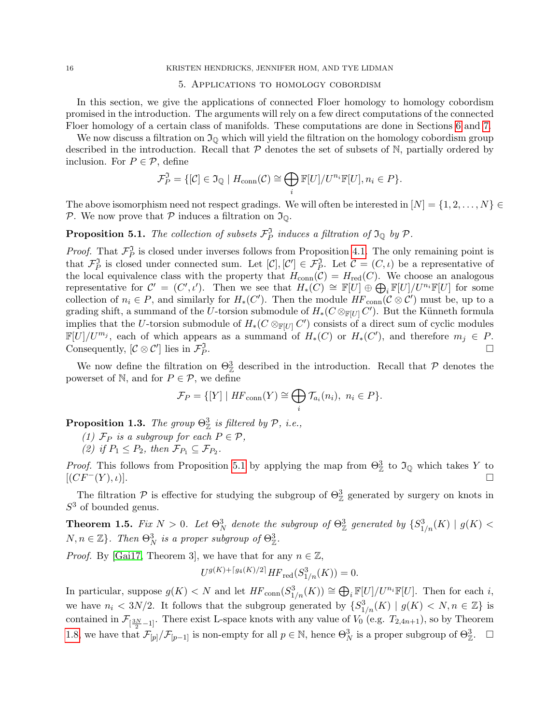### <span id="page-15-0"></span>16 KRISTEN HENDRICKS, JENNIFER HOM, AND TYE LIDMAN

### 5. Applications to homology cobordism

In this section, we give the applications of connected Floer homology to homology cobordism promised in the introduction. The arguments will rely on a few direct computations of the connected Floer homology of a certain class of manifolds. These computations are done in Sections [6](#page-17-0) and [7.](#page-23-1)

We now discuss a filtration on  $\mathfrak{I}_\mathbb{Q}$  which will yield the filtration on the homology cobordism group described in the introduction. Recall that  $P$  denotes the set of subsets of  $N$ , partially ordered by inclusion. For  $P \in \mathcal{P}$ , define

$$
\mathcal{F}_P^{\mathfrak{I}} = \{[\mathcal{C}] \in \mathfrak{I}_{\mathbb{Q}} \mid H_{\text{conn}}(\mathcal{C}) \cong \bigoplus_i \mathbb{F}[U]/U^{n_i} \mathbb{F}[U], n_i \in P\}.
$$

The above isomorphism need not respect gradings. We will often be interested in  $[N] = \{1, 2, \ldots, N\}$ P. We now prove that P induces a filtration on  $\mathfrak{I}_{\mathbb{Q}}$ .

<span id="page-15-1"></span>**Proposition 5.1.** The collection of subsets  $\mathcal{F}_P^{\mathfrak{I}}$  induces a filtration of  $\mathfrak{I}_{\mathbb{Q}}$  by  $\mathcal{P}$ .

*Proof.* That  $\mathcal{F}_P^{\mathfrak{I}}$  is closed under inverses follows from Proposition [4.1.](#page-11-3) The only remaining point is that  $\mathcal{F}_P^{\mathfrak{I}}$  is closed under connected sum. Let  $[\mathcal{C}], [\mathcal{C}'] \in \mathcal{F}_P^{\mathfrak{I}}$ . Let  $\mathcal{C} = (C, \iota)$  be a representative of the local equivalence class with the property that  $H_{conn}(\mathcal{C}) = H_{red}(C)$ . We choose an analogous representative for  $C' = (C', \iota')$ . Then we see that  $H_*(C) \cong \mathbb{F}[U] \oplus \bigoplus_i \mathbb{F}[U]/U^{n_i} \mathbb{F}[U]$  for some collection of  $n_i \in P$ , and similarly for  $H_*(C')$ . Then the module  $HF_{conn}(\mathcal{C} \otimes \mathcal{C}')$  must be, up to a grading shift, a summand of the U-torsion submodule of  $H_*(C \otimes_{\mathbb{F}[U]} C')$ . But the Künneth formula implies that the U-torsion submodule of  $H_*(C \otimes_{\mathbb{F}[U]} C')$  consists of a direct sum of cyclic modules  $\mathbb{F}[U]/U^{m_j}$ , each of which appears as a summand of  $H_*(C)$  or  $H_*(C')$ , and therefore  $m_j \in P$ . Consequently,  $[\mathcal{C} \otimes \mathcal{C}']$  lies in  $\mathcal{F}_P^{\mathfrak{I}}$ .

We now define the filtration on  $\Theta_{\mathbb{Z}}^3$  described in the introduction. Recall that  $\mathcal P$  denotes the powerset of N, and for  $P \in \mathcal{P}$ , we define

$$
\mathcal{F}_P = \{ [Y] \mid HF_{\text{conn}}(Y) \cong \bigoplus_i \mathcal{T}_{a_i}(n_i), \ n_i \in P \}.
$$

**Proposition 1.3.** The group  $\Theta_{\mathbb{Z}}^3$  is filtered by  $\mathcal{P}, i.e.,$ 

(1)  $\mathcal{F}_P$  is a subgroup for each  $P \in \mathcal{P}$ ,

(2) if  $P_1 \leq P_2$ , then  $\mathcal{F}_{P_1} \subseteq \mathcal{F}_{P_2}$ .

*Proof.* This follows from Proposition [5.1](#page-15-1) by applying the map from  $\Theta_{\mathbb{Z}}^3$  to  $\mathfrak{I}_{\mathbb{Q}}$  which takes Y to  $[(CF^-(Y),\iota)].$ 

The filtration  $P$  is effective for studying the subgroup of  $\Theta_{\mathbb{Z}}^3$  generated by surgery on knots in  $S<sup>3</sup>$  of bounded genus.

**Theorem 1.5.** Fix  $N > 0$ . Let  $\Theta_N^3$  denote the subgroup of  $\Theta_\mathbb{Z}^3$  generated by  $\{S_{1/n}^3(K) \mid g(K) < \Theta_N^3\}$  $N, n \in \mathbb{Z}$ . Then  $\Theta_N^3$  is a proper subgroup of  $\Theta_{\mathbb{Z}}^3$ .

*Proof.* By [\[Gai17,](#page-31-18) Theorem 3], we have that for any  $n \in \mathbb{Z}$ ,

$$
U^{g(K)+\lceil g_4(K)/2\rceil} HF_{\text{red}}(S^3_{1/n}(K)) = 0.
$$

In particular, suppose  $g(K) < N$  and let  $HF_{conn}(S^3_{1/n}(K)) \cong \bigoplus_i \mathbb{F}[U]/U^{n_i}\mathbb{F}[U]$ . Then for each i, we have  $n_i < 3N/2$ . It follows that the subgroup generated by  $\{S_{1/n}^3(K) \mid g(K) < N, n \in \mathbb{Z}\}\$ is contained in  $\mathcal{F}_{\left[\frac{3N}{2}-1\right]}$ . There exist L-space knots with any value of  $V_0$  (e.g.  $T_{2,4n+1}$ ), so by Theorem [1.8,](#page-2-0) we have that  $\mathcal{F}_{[p]}/\mathcal{F}_{[p-1]}$  is non-empty for all  $p \in \mathbb{N}$ , hence  $\Theta_N^3$  is a proper subgroup of  $\Theta_{\mathbb{Z}}^3$ .  $\Box$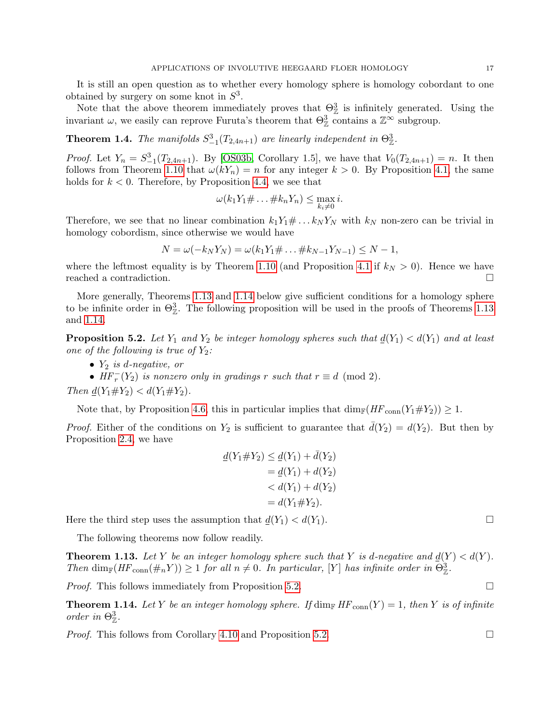It is still an open question as to whether every homology sphere is homology cobordant to one obtained by surgery on some knot in  $S^3$ .

Note that the above theorem immediately proves that  $\Theta_{\mathbb{Z}}^3$  is infinitely generated. Using the invariant  $\omega$ , we easily can reprove Furuta's theorem that  $\Theta_{\mathbb{Z}}^3$  contains a  $\mathbb{Z}^{\infty}$  subgroup.

**Theorem 1.4.** The manifolds  $S_{-1}^3(T_{2,4n+1})$  are linearly independent in  $\Theta_{\mathbb{Z}}^3$ .

*Proof.* Let  $Y_n = S_{-1}^3(T_{2,4n+1})$ . By [\[OS03b,](#page-31-19) Corollary 1.5], we have that  $V_0(T_{2,4n+1}) = n$ . It then follows from Theorem [1.10](#page-2-1) that  $\omega(kY_n) = n$  for any integer  $k > 0$ . By Proposition [4.1,](#page-11-3) the same holds for  $k < 0$ . Therefore, by Proposition [4.4,](#page-11-1) we see that

$$
\omega(k_1Y_1\#\dots\#k_nY_n)\leq \max_{k_i\neq 0} i.
$$

Therefore, we see that no linear combination  $k_1Y_1\# \dots k_N Y_N$  with  $k_N$  non-zero can be trivial in homology cobordism, since otherwise we would have

$$
N = \omega(-k_N Y_N) = \omega(k_1 Y_1 \# \dots \# k_{N-1} Y_{N-1}) \leq N-1,
$$

where the leftmost equality is by Theorem [1.10](#page-2-1) (and Proposition [4.1](#page-11-3) if  $k_N > 0$ ). Hence we have reached a contradiction.

More generally, Theorems [1.13](#page-2-2) and [1.14](#page-2-3) below give sufficient conditions for a homology sphere to be infinite order in  $\Theta_{\mathbb{Z}}^3$ . The following proposition will be used in the proofs of Theorems [1.13](#page-2-2) and [1.14.](#page-2-3)

<span id="page-16-0"></span>**Proposition 5.2.** Let  $Y_1$  and  $Y_2$  be integer homology spheres such that  $\underline{d}(Y_1) < d(Y_1)$  and at least one of the following is true of  $Y_2$ :

•  $Y_2$  is d-negative, or

•  $HF<sub>r</sub><sup>-</sup>(Y<sub>2</sub>)$  is nonzero only in gradings r such that  $r \equiv d \pmod{2}$ .

Then  $d(Y_1 \# Y_2) < d(Y_1 \# Y_2)$ .

Note that, by Proposition [4.6,](#page-12-0) this in particular implies that  $\dim_{\mathbb{F}}(HF_{\text{conn}}(Y_1 \# Y_2)) \geq 1$ .

*Proof.* Either of the conditions on  $Y_2$  is sufficient to guarantee that  $d(Y_2) = d(Y_2)$ . But then by Proposition [2.4,](#page-5-2) we have

$$
d(Y_1 \# Y_2) \le d(Y_1) + \bar{d}(Y_2)
$$
  
=  $d(Y_1) + d(Y_2)$   
<  $d(Y_1) + d(Y_2)$   
=  $d(Y_1 \# Y_2)$ .

Here the third step uses the assumption that  $d(Y_1) < d(Y_1)$ .

The following theorems now follow readily.

**Theorem 1.13.** Let Y be an integer homology sphere such that Y is d-negative and  $\underline{d}(Y) < d(Y)$ . Then  $\dim_{\mathbb{F}}(HF_{conn}(\#_n Y)) \geq 1$  for all  $n \neq 0$ . In particular, [Y] has infinite order in  $\Theta^3_{\mathbb{Z}}$ .

*Proof.* This follows immediately from Proposition [5.2.](#page-16-0)  $\Box$ 

**Theorem 1.14.** Let Y be an integer homology sphere. If  $\dim_{\mathbb{F}} HF_{conn}(Y) = 1$ , then Y is of infinite order in  $\Theta_{\mathbb{Z}}^3$ .

*Proof.* This follows from Corollary [4.10](#page-14-1) and Proposition [5.2.](#page-16-0)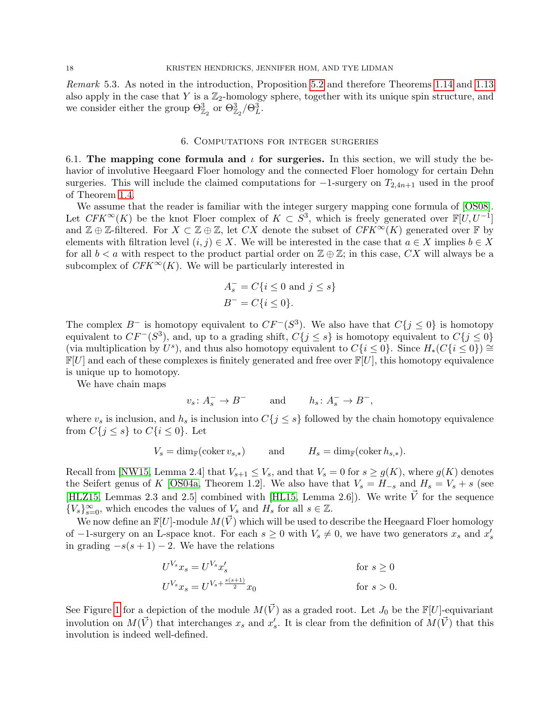Remark 5.3. As noted in the introduction, Proposition [5.2](#page-16-0) and therefore Theorems [1.14](#page-2-3) and [1.13](#page-2-2) also apply in the case that Y is a  $\mathbb{Z}_2$ -homology sphere, together with its unique spin structure, and we consider either the group  $\Theta_{\mathbb{Z}_2}^3$  or  $\Theta_{\mathbb{Z}_2}^3/\Theta_L^3$ .

#### 6. Computations for integer surgeries

<span id="page-17-0"></span>6.1. The mapping cone formula and  $\iota$  for surgeries. In this section, we will study the behavior of involutive Heegaard Floer homology and the connected Floer homology for certain Dehn surgeries. This will include the claimed computations for  $-1$ -surgery on  $T_{2,4n+1}$  used in the proof of Theorem [1.4.](#page-1-0)

We assume that the reader is familiar with the integer surgery mapping cone formula of [\[OS08\]](#page-31-5). Let  $CFK^{\infty}(K)$  be the knot Floer complex of  $K \subset S^3$ , which is freely generated over  $\mathbb{F}[U, U^{-1}]$ and  $\mathbb{Z} \oplus \mathbb{Z}$ -filtered. For  $X \subset \mathbb{Z} \oplus \mathbb{Z}$ , let CX denote the subset of  $CFK^{\infty}(K)$  generated over F by elements with filtration level  $(i, j) \in X$ . We will be interested in the case that  $a \in X$  implies  $b \in X$ for all  $b < a$  with respect to the product partial order on  $\mathbb{Z} \oplus \mathbb{Z}$ ; in this case,  $CX$  will always be a subcomplex of  $CFK^{\infty}(K)$ . We will be particularly interested in

$$
A_s^- = C\{i \le 0 \text{ and } j \le s\}
$$
  

$$
B^- = C\{i \le 0\}.
$$

The complex  $B^-$  is homotopy equivalent to  $CF^-(S^3)$ . We also have that  $C\{j \leq 0\}$  is homotopy equivalent to  $CF^{-}(S^3)$ , and, up to a grading shift,  $C\{j \leq s\}$  is homotopy equivalent to  $C\{j \leq 0\}$ (via multiplication by  $U^s$ ), and thus also homotopy equivalent to  $C\{i \leq 0\}$ . Since  $H_*(C\{i \leq 0\}) \cong$  $\mathbb{F}[U]$  and each of these complexes is finitely generated and free over  $\mathbb{F}[U]$ , this homotopy equivalence is unique up to homotopy.

We have chain maps

$$
v_s \colon A_s^- \to B^-
$$
 and  $h_s \colon A_s^- \to B^-$ ,

where  $v_s$  is inclusion, and  $h_s$  is inclusion into  $C\{j \leq s\}$  followed by the chain homotopy equivalence from  $C\{j \leq s\}$  to  $C\{i \leq 0\}$ . Let

$$
V_s = \dim_{\mathbb{F}}(\text{coker}\,v_{s,*}) \qquad \text{and} \qquad H_s = \dim_{\mathbb{F}}(\text{coker}\,h_{s,*}).
$$

Recall from [\[NW15,](#page-31-7) Lemma 2.4] that  $V_{s+1} \leq V_s$ , and that  $V_s = 0$  for  $s \geq g(K)$ , where  $g(K)$  denotes the Seifert genus of K [\[OS04a,](#page-31-20) Theorem 1.2]. We also have that  $V_s = H_{-s}$  and  $H_s = V_s + s$  (see [\[HLZ15,](#page-31-21) Lemmas 2.3 and 2.5] combined with [\[HL15,](#page-31-22) Lemma 2.6]). We write  $\vec{V}$  for the sequence  ${V_s}_{s=0}^{\infty}$ , which encodes the values of  $V_s$  and  $H_s$  for all  $s \in \mathbb{Z}$ .

We now define an  $\mathbb{F}[U]$ -module  $M(\vec{V})$  which will be used to describe the Heegaard Floer homology of  $-1$ -surgery on an L-space knot. For each  $s \geq 0$  with  $V_s \neq 0$ , we have two generators  $x_s$  and  $x'_s$ in grading  $-s(s + 1) - 2$ . We have the relations

$$
U^{V_s} x_s = U^{V_s} x'_s
$$
 for  $s \ge 0$   
\n
$$
U^{V_s} x_s = U^{V_s + \frac{s(s+1)}{2}} x_0
$$
 for  $s > 0$ .

See Figure [1](#page-18-1) for a depiction of the module  $M(\vec{V})$  as a graded root. Let  $J_0$  be the  $\mathbb{F}[U]$ -equivariant involution on  $M(\vec{V})$  that interchanges  $x_s$  and  $x'_s$ . It is clear from the definition of  $M(\vec{V})$  that this involution is indeed well-defined.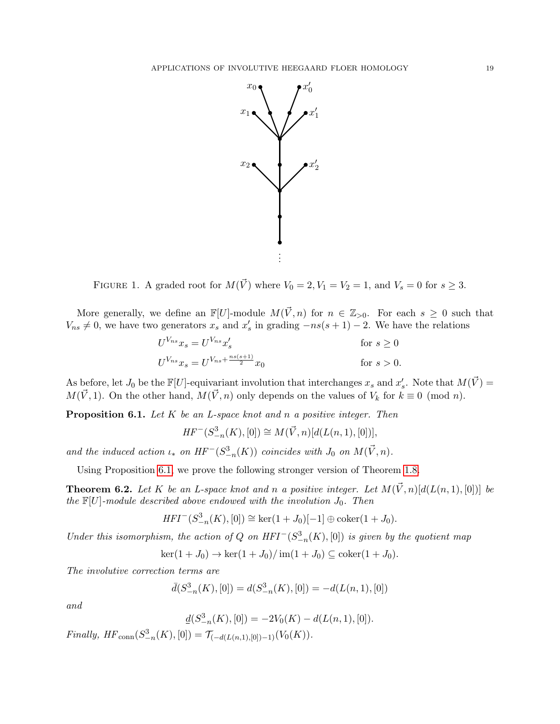

<span id="page-18-1"></span>FIGURE 1. A graded root for  $M(\vec{V})$  where  $V_0 = 2, V_1 = V_2 = 1$ , and  $V_s = 0$  for  $s \geq 3$ .

More generally, we define an  $\mathbb{F}[U]$ -module  $M(\vec{V}, n)$  for  $n \in \mathbb{Z}_{>0}$ . For each  $s \geq 0$  such that  $V_{ns} \neq 0$ , we have two generators  $x_s$  and  $x'_s$  in grading  $-ns(s+1) - 2$ . We have the relations

$$
U^{V_{ns}} x_s = U^{V_{ns}} x'_s
$$
 for  $s \ge 0$   
\n
$$
U^{V_{ns}} x_s = U^{V_{ns} + \frac{ns(s+1)}{2}} x_0
$$
 for  $s > 0$ .

As before, let  $J_0$  be the  $\mathbb{F}[U]$ -equivariant involution that interchanges  $x_s$  and  $x'_s$ . Note that  $M(\vec{V}) =$  $M(\vec{V}, 1)$ . On the other hand,  $M(\vec{V}, n)$  only depends on the values of  $V_k$  for  $k \equiv 0 \pmod{n}$ .

<span id="page-18-0"></span>**Proposition 6.1.** Let  $K$  be an L-space knot and  $n$  a positive integer. Then

$$
HF^{-}(S^{3}_{-n}(K), [0]) \cong M(\vec{V}, n)[d(L(n, 1), [0])],
$$

and the induced action  $\iota_*$  on  $HF^-(S^3_{-n}(K))$  coincides with  $J_0$  on  $M(\vec{V}, n)$ .

Using Proposition [6.1,](#page-18-0) we prove the following stronger version of Theorem [1.8.](#page-2-0)

<span id="page-18-2"></span>**Theorem 6.2.** Let K be an L-space knot and n a positive integer. Let  $M(\vec{V}, n)[d(L(n, 1), [0])]$  be the  $\mathbb{F}[U]$ -module described above endowed with the involution  $J_0$ . Then

$$
HFI^{-}(S_{-n}^{3}(K), [0]) \cong \ker(1+J_{0})[-1] \oplus \mathrm{coker}(1+J_{0}).
$$

Under this isomorphism, the action of Q on  $HFI^-(S^3_{-n}(K), [0])$  is given by the quotient map

 $\ker(1 + J_0) \to \ker(1 + J_0)/\operatorname{im}(1 + J_0) \subseteq \operatorname{coker}(1 + J_0).$ 

The involutive correction terms are

$$
\bar{d}(S^3_{-n}(K),[0]) = d(S^3_{-n}(K),[0]) = -d(L(n,1),[0])
$$

and

$$
\underline{d}(S^3_{-n}(K),[0]) = -2V_0(K) - d(L(n,1),[0]).
$$

*Finally,*  $HF_{conn}(S^3_{-n}(K), [0]) = \mathcal{T}_{(-d(L(n,1), [0])-1)}(V_0(K)).$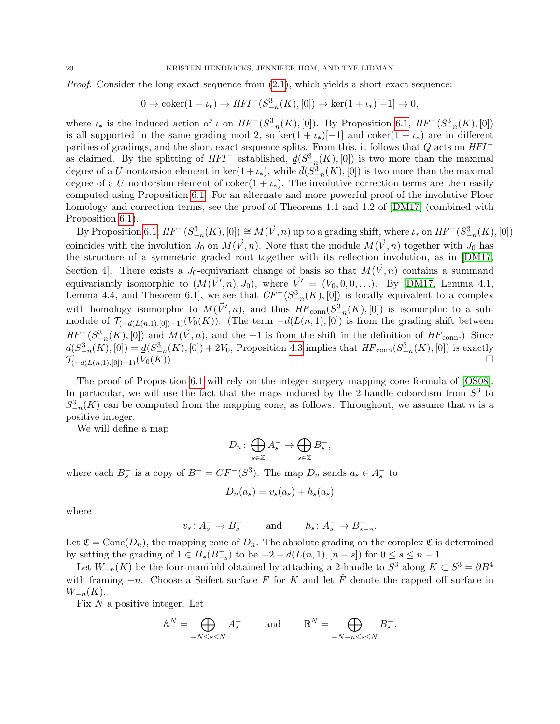*Proof.* Consider the long exact sequence from  $(2.1)$ , which yields a short exact sequence:

$$
0 \to \text{coker}(1 + \iota_*) \to HFI^-(S^3_{-n}(K), [0]) \to \ker(1 + \iota_*)[-1] \to 0,
$$

where  $\iota_*$  is the induced action of  $\iota$  on  $HF^-(S^3_{-n}(K), [0])$ . By Proposition [6.1,](#page-18-0)  $HF^-(S^3_{-n}(K), [0])$ is all supported in the same grading mod 2, so ker $(1 + \iota_*)[-1]$  and coker $(1 + \iota_*)$  are in different parities of gradings, and the short exact sequence splits. From this, it follows that  $Q$  acts on  $HFI^$ as claimed. By the splitting of  $HFI^-$  established,  $\underline{d}(S^3_{-n}(K), [0])$  is two more than the maximal degree of a U-nontorsion element in  $\ker(1+\iota_*)$ , while  $\bar{d}(S^3_{-n}(K),[0])$  is two more than the maximal degree of a U-nontorsion element of coker $(1 + \iota_*)$ . The involutive correction terms are then easily computed using Proposition [6.1.](#page-18-0) For an alternate and more powerful proof of the involutive Floer homology and correction terms, see the proof of Theorems 1.1 and 1.2 of [\[DM17\]](#page-31-4) (combined with Proposition [6.1\)](#page-18-0).

By Proposition [6.1,](#page-18-0)  $HF^-(S^3_{-n}(K), [0]) \cong M(\vec{V}, n)$  up to a grading shift, where  $\iota_*$  on  $HF^-(S^3_{-n}(K), [0])$ coincides with the involution  $J_0$  on  $M(\vec{V}, n)$ . Note that the module  $M(\vec{V}, n)$  together with  $J_0$  has the structure of a symmetric graded root together with its reflection involution, as in [\[DM17,](#page-31-4) Section 4. There exists a  $J_0$ -equivariant change of basis so that  $M(\vec{V}, n)$  contains a summand equivariantly isomorphic to  $(M(\vec{V}', n), J_0)$ , where  $\vec{V}' = (V_0, 0, 0, \ldots)$ . By [\[DM17,](#page-31-4) Lemma 4.1, Lemma 4.4, and Theorem 6.1, we see that  $CF^{-}(S_{-n}^{3}(K), [0])$  is locally equivalent to a complex with homology isomorphic to  $M(\vec{V}', n)$ , and thus  $HF_{conn}(S^3_{-n}(K), [0])$  is isomorphic to a submodule of  $\mathcal{T}_{(-d(L(n,1),[0])-1)}(V_0(K))$ . (The term  $-d(L(n,1),[0])$  is from the grading shift between  $HF^-(S^3_{-n}(K), [0])$  and  $M(\vec{V}, n)$ , and the -1 is from the shift in the definition of  $HF_{\text{conn}}$ .) Since  $d(S_{-n}^{3}(K),[0]) = \underline{d}(S_{-n}^{3}(K),[0]) + 2V_0$ , Proposition [4.3](#page-11-2) implies that  $HF_{conn}(S_{-n}^{3}(K),[0])$  is exactly  $\mathcal{T}_{(-d(L(n,1),[0])-1)}(V_0(K)).$ 

The proof of Proposition [6.1](#page-18-0) will rely on the integer surgery mapping cone formula of [\[OS08\]](#page-31-5). In particular, we will use the fact that the maps induced by the 2-handle cobordism from  $S<sup>3</sup>$  to  $S_{-n}^{3}(K)$  can be computed from the mapping cone, as follows. Throughout, we assume that n is a positive integer.

We will define a map

$$
D_n\colon \bigoplus_{s\in\mathbb{Z}}A_s^-\to \bigoplus_{s\in\mathbb{Z}}B_s^-,
$$

where each  $B_s^-$  is a copy of  $B^- = CF^-(S^3)$ . The map  $D_n$  sends  $a_s \in A_s^-$  to

$$
D_n(a_s) = v_s(a_s) + h_s(a_s)
$$

where

 $v_s: A_s^- \to B_s^-$  and  $h_s: A_s^- \to B_{s-n}^-$ .

Let  $\mathfrak{C} = \text{Cone}(D_n)$ , the mapping cone of  $D_n$ . The absolute grading on the complex  $\mathfrak{C}$  is determined by setting the grading of  $1 \in H_*(B_{-s}^-)$  to be  $-2 - d(L(n, 1), [n-s])$  for  $0 \le s \le n-1$ .

Let  $W_{-n}(K)$  be the four-manifold obtained by attaching a 2-handle to  $S^3$  along  $K \subset S^3 = \partial B^4$ with framing  $-n$ . Choose a Seifert surface F for K and let  $\hat{F}$  denote the capped off surface in  $W_{-n}(K)$ .

Fix  $N$  a positive integer. Let

$$
\mathbb{A}^N = \bigoplus_{-N \le s \le N} A_s^- \qquad \text{and} \qquad \mathbb{B}^N = \bigoplus_{-N-n \le s \le N} B_s^-.
$$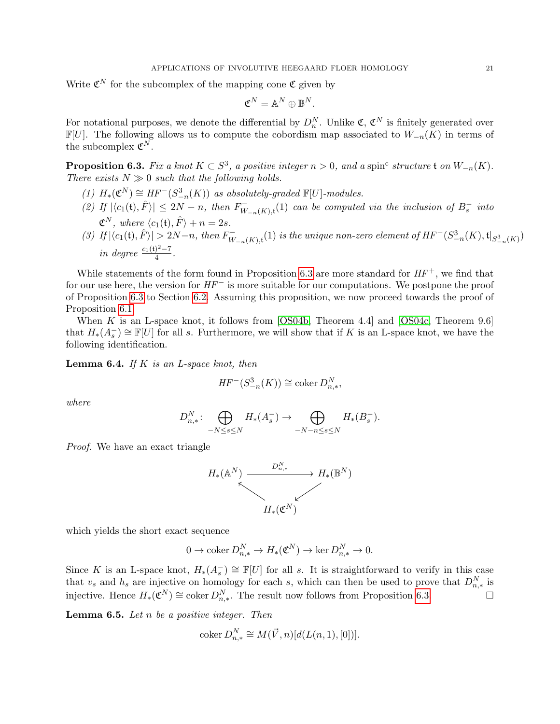Write  $\mathfrak{C}^N$  for the subcomplex of the mapping cone  $\mathfrak{C}$  given by

$$
\mathfrak{C}^N = \mathbb{A}^N \oplus \mathbb{B}^N.
$$

For notational purposes, we denote the differential by  $D_n^N$ . Unlike  $\mathfrak{C}, \mathfrak{C}^N$  is finitely generated over  $\mathbb{F}[U]$ . The following allows us to compute the cobordism map associated to  $W_{-n}(K)$  in terms of the subcomplex  $\mathfrak{C}^N$ .

<span id="page-20-0"></span>**Proposition 6.3.** Fix a knot  $K \subset S^3$ , a positive integer  $n > 0$ , and a spin<sup>c</sup> structure t on  $W_{-n}(K)$ . There exists  $N \gg 0$  such that the following holds.

- (1)  $H_*(\mathfrak{C}^N) \cong HF^-(S^3_{-n}(K))$  as absolutely-graded  $\mathbb{F}[U]$ -modules.
- (2) If  $|\langle c_1(\mathfrak{t}), \hat{F} \rangle| \leq 2N n$ , then  $F_W^ \sum_{W_{-n}(K),t}^{n}(1)$  can be computed via the inclusion of  $B_s^-$  into  $\mathfrak{C}^N$ , where  $\langle c_1(\mathfrak{t}), \hat{F} \rangle + n = 2s$ .
- (3) If  $|\langle c_1(\mathfrak{t}), \hat{F} \rangle| > 2N n$ , then  $F_W^ \mathcal{W}_{-n}(K),$ t $(1)$  is the unique non-zero element of  $HF^{-}(S^{3}_{-n}(K),\mathfrak{t}|_{S^{3}_{-n}(K)})$ in degree  $\frac{c_1(\mathfrak{t})^2 - 7}{4}$  $\frac{1}{4}$ .

While statements of the form found in Proposition [6.3](#page-20-0) are more standard for  $HF^+$ , we find that for our use here, the version for  $HF^-$  is more suitable for our computations. We postpone the proof of Proposition [6.3](#page-20-0) to Section [6.2.](#page-22-0) Assuming this proposition, we now proceed towards the proof of Proposition [6.1.](#page-18-0)

When K is an L-space knot, it follows from [\[OS04b,](#page-31-23) Theorem 4.4] and [\[OS04c,](#page-31-14) Theorem 9.6] that  $H_*(A_s^-) \cong \mathbb{F}[U]$  for all s. Furthermore, we will show that if K is an L-space knot, we have the following identification.

<span id="page-20-1"></span>**Lemma 6.4.** If K is an L-space knot, then

$$
HF^{-}(S_{-n}^{3}(K)) \cong \operatorname{coker} D_{n,*}^{N},
$$

where

$$
D_{n,*}^N: \bigoplus_{-N \leq s \leq N} H_*(A_s^-) \to \bigoplus_{-N-n \leq s \leq N} H_*(B_s^-).
$$

Proof. We have an exact triangle



which yields the short exact sequence

$$
0 \to \operatorname{coker} D_{n,*}^N \to H_*({\mathfrak C}^N) \to \ker D_{n,*}^N \to 0.
$$

Since K is an L-space knot,  $H_*(A_s^-) \cong \mathbb{F}[U]$  for all s. It is straightforward to verify in this case that  $v_s$  and  $h_s$  are injective on homology for each s, which can then be used to prove that  $D_{n,*}^N$  is injective. Hence  $H_*(\mathfrak{C}^N) \cong \text{coker } D_{n,*}^N$ . The result now follows from Proposition [6.3.](#page-20-0) □

<span id="page-20-2"></span>**Lemma 6.5.** Let  $n$  be a positive integer. Then

$$
\operatorname{coker} D_{n,*}^N \cong M(\vec{V}, n)[d(L(n, 1), [0])].
$$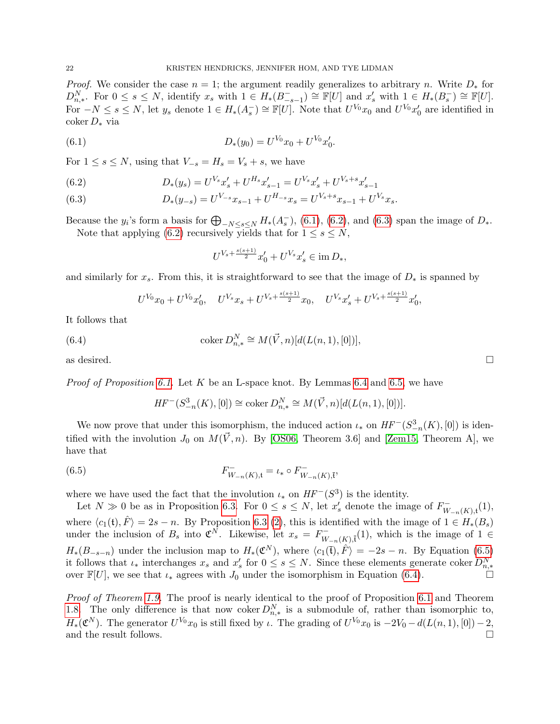*Proof.* We consider the case  $n = 1$ ; the argument readily generalizes to arbitrary n. Write  $D_*$  for  $D_{n,*}^N$ . For  $0 \leq s \leq N$ , identify  $x_s$  with  $1 \in H_*(B_{-s-1}^-) \cong \mathbb{F}[U]$  and  $x'_s$  with  $1 \in H_*(B_s^-) \cong \mathbb{F}[U]$ . For  $-N \leq s \leq N$ , let  $y_s$  denote  $1 \in H_*(A_s^-) \cong \mathbb{F}[U]$ . Note that  $U^{V_0}x_0$  and  $U^{V_0}x_0'$  are identified in coker D<sup>∗</sup> via

(6.1) 
$$
D_*(y_0) = U^{V_0} x_0 + U^{V_0} x'_0.
$$

For  $1 \leq s \leq N$ , using that  $V_{-s} = H_s = V_s + s$ , we have

<span id="page-21-1"></span>(6.2) 
$$
D_*(y_s) = U^{V_s} x'_s + U^{H_s} x'_{s-1} = U^{V_s} x'_s + U^{V_s + s} x'_{s-1}
$$

<span id="page-21-2"></span>(6.3) 
$$
D_*(y_{-s}) = U^{V_{-s}}x_{s-1} + U^{H_{-s}}x_s = U^{V_s + s}x_{s-1} + U^{V_s}x_s.
$$

Because the  $y_i$ 's form a basis for  $\bigoplus_{-N\leq s\leq N} H_*(A_s^-)$ , [\(6.1\)](#page-21-0), [\(6.2\)](#page-21-1), and [\(6.3\)](#page-21-2) span the image of  $D_*$ . Note that applying [\(6.2\)](#page-21-1) recursively yields that for  $1 \leq s \leq N$ ,

<span id="page-21-0"></span>
$$
U^{V_s + \frac{s(s+1)}{2}} x'_0 + U^{V_s} x'_s \in \text{im } D_*,
$$

and similarly for  $x_s$ . From this, it is straightforward to see that the image of  $D_*$  is spanned by

<span id="page-21-4"></span>
$$
U^{V_0}x_0 + U^{V_0}x'_0, \quad U^{V_s}x_s + U^{V_s + \frac{s(s+1)}{2}}x_0, \quad U^{V_s}x'_s + U^{V_s + \frac{s(s+1)}{2}}x'_0,
$$

It follows that

(6.4) 
$$
\operatorname{coker} D_{n,*}^N \cong M(\vec{V}, n)[d(L(n, 1), [0])],
$$

as desired.  $\square$ 

*Proof of Proposition [6.1.](#page-18-0)* Let K be an L-space knot. By Lemmas [6.4](#page-20-1) and [6.5,](#page-20-2) we have

<span id="page-21-3"></span>
$$
HF^{-}(S^{3}_{-n}(K), [0]) \cong \text{coker}\, D_{n,*}^{N} \cong M(\vec{V}, n)[d(L(n, 1), [0])].
$$

We now prove that under this isomorphism, the induced action  $\iota_*$  on  $HF^-(S^3_{-n}(K), [0])$  is identified with the involution  $J_0$  on  $M(\vec{V}, n)$ . By [\[OS06,](#page-31-15) Theorem 3.6] and [\[Zem15,](#page-32-2) Theorem A], we have that

(6.5) 
$$
F_{W_{-n}(K),t}^{-} = \iota_{*} \circ F_{W_{-n}(K),\bar{t}}^{-}
$$

where we have used the fact that the involution  $\iota_*$  on  $HF^-(S^3)$  is the identity.

Let  $N \gg 0$  be as in Proposition [6.3.](#page-20-0) For  $0 \leq s \leq N$ , let  $x'_{s}$  denote the image of  $F_{W}^{-}$  $W_{-n}(K),$ t $(1),$ where  $\langle c_1(t), \hat{F} \rangle = 2s - n$ . By Proposition [6.3](#page-20-0) [\(2\)](#page-23-2), this is identified with the image of  $1 \in H_*(B_s)$ under the inclusion of  $B_s$  into  $\mathfrak{C}^{\bar{N}}$ . Likewise, let  $x_s = F_{\bar{W}}^ \overline{W}_{-n}(K),$ <sup>t</sup><sub> $\overline{t}$ </sub>(1), which is the image of 1 ∈  $H_*(B_{-s-n})$  under the inclusion map to  $H_*(\mathfrak{C}^N)$ , where  $\langle c_1(\bar{\mathfrak{t}}), \hat{F} \rangle = -2s - n$ . By Equation [\(6.5\)](#page-21-3) it follows that  $\iota_*$  interchanges  $x_s$  and  $x'_s$  for  $0 \le s \le N$ . Since these elements generate coker  $D_{n,*}^N$ over  $\mathbb{F}[U]$ , we see that  $\iota_*$  agrees with  $J_0$  under the isomorphism in Equation [\(6.4\)](#page-21-4).

Proof of Theorem [1.9.](#page-2-4) The proof is nearly identical to the proof of Proposition [6.1](#page-18-0) and Theorem [1.8.](#page-2-0) The only difference is that now coker  $D_{n,*}^N$  is a submodule of, rather than isomorphic to,  $H_*(\mathfrak{C}^N)$ . The generator  $U^{V_0}x_0$  is still fixed by  $\iota$ . The grading of  $U^{V_0}x_0$  is  $-2V_0-d(L(n, 1), [0])-2$ , and the result follows.  $\Box$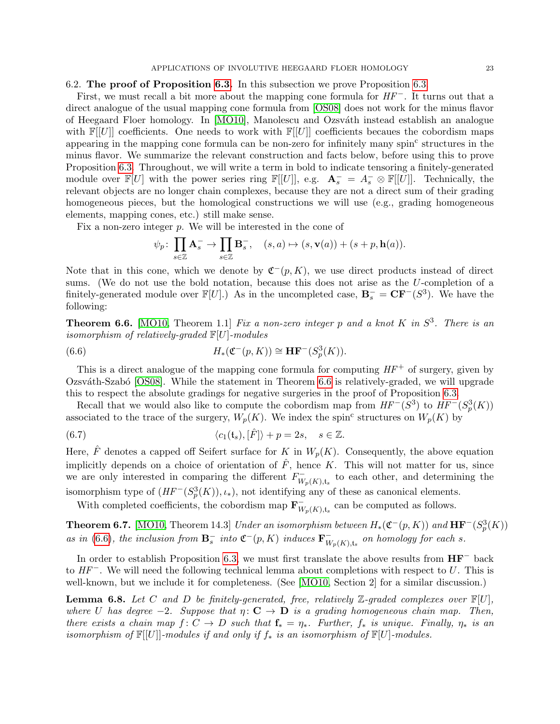# <span id="page-22-0"></span>6.2. The proof of Proposition [6.3.](#page-20-0) In this subsection we prove Proposition [6.3.](#page-20-0)

First, we must recall a bit more about the mapping cone formula for  $HF^-$ . It turns out that a direct analogue of the usual mapping cone formula from [\[OS08\]](#page-31-5) does not work for the minus flavor of Heegaard Floer homology. In [\[MO10\]](#page-31-24), Manolescu and Ozsváth instead establish an analogue with  $\mathbb{F}[U]$  coefficients. One needs to work with  $\mathbb{F}[U]$  coefficients because the cobordism maps appearing in the mapping cone formula can be non-zero for infinitely many spin<sup>c</sup> structures in the minus flavor. We summarize the relevant construction and facts below, before using this to prove Proposition [6.3.](#page-20-0) Throughout, we will write a term in bold to indicate tensoring a finitely-generated module over  $\mathbb{F}[U]$  with the power series ring  $\mathbb{F}[[U]]$ , e.g.  $\mathbf{A}^-_s = A_s^- \otimes \mathbb{F}[[U]]$ . Technically, the relevant objects are no longer chain complexes, because they are not a direct sum of their grading homogeneous pieces, but the homological constructions we will use (e.g., grading homogeneous elements, mapping cones, etc.) still make sense.

Fix a non-zero integer p. We will be interested in the cone of

<span id="page-22-2"></span>
$$
\psi_p \colon \prod_{s \in \mathbb{Z}} \mathbf{A}_s^- \to \prod_{s \in \mathbb{Z}} \mathbf{B}_s^-, \quad (s, a) \mapsto (s, \mathbf{v}(a)) + (s + p, \mathbf{h}(a)).
$$

Note that in this cone, which we denote by  $\mathfrak{C}^-(p,K)$ , we use direct products instead of direct sums. (We do not use the bold notation, because this does not arise as the U-completion of a finitely-generated module over  $\mathbb{F}[U]$ .) As in the uncompleted case,  $\mathbf{B}_s^- = \mathbf{C}\mathbf{F}^-(S^3)$ . We have the following:

<span id="page-22-1"></span>**Theorem 6.6.** [\[MO10,](#page-31-24) Theorem 1.1] Fix a non-zero integer p and a knot K in  $S^3$ . There is an isomorphism of relatively-graded  $\mathbb{F}[U]$ -modules

(6.6) 
$$
H_*(\mathfrak{C}^-(p,K)) \cong \mathbf{HF}^-(S_p^3(K)).
$$

This is a direct analogue of the mapping cone formula for computing  $HF^+$  of surgery, given by Ozsváth-Szabó [\[OS08\]](#page-31-5). While the statement in Theorem [6.6](#page-22-1) is relatively-graded, we will upgrade this to respect the absolute gradings for negative surgeries in the proof of Proposition [6.3.](#page-20-0)

Recall that we would also like to compute the cobordism map from  $HF^-(S^3)$  to  $HF^-(S^3_p(K))$ associated to the trace of the surgery,  $W_p(K)$ . We index the spin<sup>c</sup> structures on  $W_p(K)$  by

(6.7) 
$$
\langle c_1(\mathfrak{t}_s), [\hat{F}] \rangle + p = 2s, \quad s \in \mathbb{Z}.
$$

Here,  $\hat{F}$  denotes a capped off Seifert surface for K in  $W_p(K)$ . Consequently, the above equation implicitly depends on a choice of orientation of  $\hat{F}$ , hence K. This will not matter for us, since we are only interested in comparing the different  $F_{W}^{-}$  $\overline{W}_{p}(K),$ <sub>ts</sub> to each other, and determining the isomorphism type of  $(HF^{-}(S_p^{3}(K)), \iota_*),$  not identifying any of these as canonical elements.

With completed coefficients, the cobordism map  $\mathbf{F}_{\mathbf{u}}^ W_{p}(K),$ <sub>ts</sub> can be computed as follows.

**Theorem 6.7.** [\[MO10,](#page-31-24) Theorem 14.3] Under an isomorphism between  $H_*(\mathfrak{C}^-(p,K))$  and  $\mathbf{HF}^-(S_p^3(K))$ as in [\(6.6\)](#page-22-2), the inclusion from  $\mathbf{B}_s^-$  into  $\mathfrak{C}^-(p,K)$  induces  $\mathbf{F}_W^ _{W_p(K),\mathfrak{t}_s}^-$  on homology for each s.

In order to establish Proposition [6.3,](#page-20-0) we must first translate the above results from HF<sup>−</sup> back to  $HF^-$ . We will need the following technical lemma about completions with respect to U. This is well-known, but we include it for completeness. (See [\[MO10,](#page-31-24) Section 2] for a similar discussion.)

<span id="page-22-3"></span>**Lemma 6.8.** Let C and D be finitely-generated, free, relatively  $\mathbb{Z}$ -graded complexes over  $\mathbb{F}[U]$ , where U has degree  $-2$ . Suppose that  $\eta: \mathbf{C} \to \mathbf{D}$  is a grading homogeneous chain map. Then, there exists a chain map  $f: C \to D$  such that  $\mathbf{f}_* = \eta_*$ . Further,  $f_*$  is unique. Finally,  $\eta_*$  is an isomorphism of  $\mathbb{F}[[U]]$ -modules if and only if  $f_*$  is an isomorphism of  $\mathbb{F}[U]$ -modules.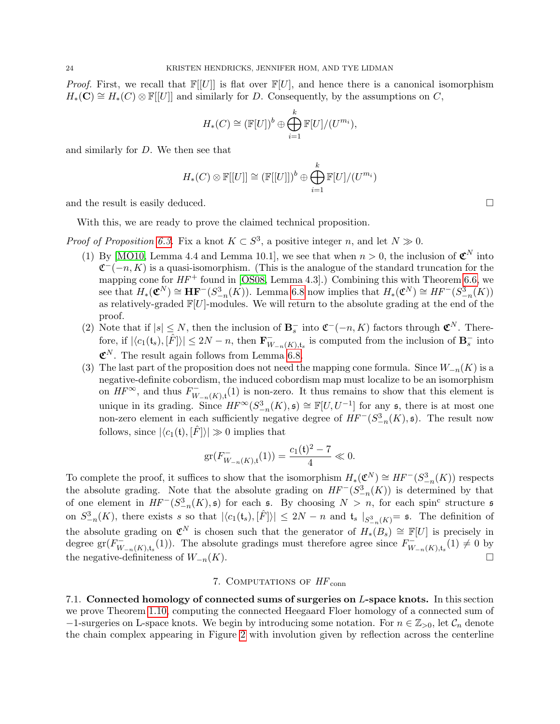*Proof.* First, we recall that  $\mathbb{F}[U]$  is flat over  $\mathbb{F}[U]$ , and hence there is a canonical isomorphism  $H_*(\mathbf{C}) \cong H_*(C) \otimes \mathbb{F}[U]$  and similarly for D. Consequently, by the assumptions on C,

$$
H_*(C) \cong (\mathbb{F}[U])^b \oplus \bigoplus_{i=1}^k \mathbb{F}[U]/(U^{m_i}),
$$

and similarly for D. We then see that

$$
H_*(C) \otimes \mathbb{F}[[U]] \cong (\mathbb{F}[[U]])^b \oplus \bigoplus_{i=1}^k \mathbb{F}[U]/(U^{m_i})
$$

and the result is easily deduced.  $\square$ 

With this, we are ready to prove the claimed technical proposition.

*Proof of Proposition [6.3.](#page-20-0)* Fix a knot  $K \subset S^3$ , a positive integer n, and let  $N \gg 0$ .

- (1) By [\[MO10,](#page-31-24) Lemma 4.4 and Lemma 10.1], we see that when  $n > 0$ , the inclusion of  $\mathfrak{C}^N$  into  $\mathfrak{C}^{-}(-n, K)$  is a quasi-isomorphism. (This is the analogue of the standard truncation for the mapping cone for  $HF^+$  found in [\[OS08,](#page-31-5) Lemma 4.3].) Combining this with Theorem [6.6,](#page-22-1) we see that  $H_*(\mathfrak{C}^N) \cong \mathbf{HF}^-(S^3_{-n}(K))$ . Lemma [6.8](#page-22-3) now implies that  $H_*(\mathfrak{C}^N) \cong HF^-(S^3_{-n}(K))$ as relatively-graded  $\mathbb{F}[U]$ -modules. We will return to the absolute grading at the end of the proof.
- <span id="page-23-2"></span>(2) Note that if  $|s| \leq N$ , then the inclusion of  $\mathbf{B}_s^-$  into  $\mathfrak{C}^-(n,K)$  factors through  $\mathfrak{C}^N$ . Therefore, if  $|\langle c_1(\mathfrak{t}_s), [\hat{F}] \rangle| \leq 2N - n$ , then  $\mathbf{F}_{W}^ \overline{W}_{n}(K),$ <sub>ts</sub> is computed from the inclusion of  $\mathbf{B}_s^-$  into  $\mathfrak{C}^N$ . The result again follows from Lemma [6.8.](#page-22-3)
- (3) The last part of the proposition does not need the mapping cone formula. Since  $W_{-n}(K)$  is a negative-definite cobordism, the induced cobordism map must localize to be an isomorphism on  $HF^{\infty}$ , and thus  $F_{W}^{-}$  $W_{n-k}(K)$ ,t<sup>(1)</sup> is non-zero. It thus remains to show that this element is unique in its grading. Since  $HF^{\infty}(S^3_{-n}(K), \mathfrak{s}) \cong \mathbb{F}[U, U^{-1}]$  for any  $\mathfrak{s}$ , there is at most one non-zero element in each sufficiently negative degree of  $HF^{-}(S^3_{-n}(K), \mathfrak{s})$ . The result now follows, since  $|\langle c_1(\mathbf{t}), [\hat{F}]\rangle| \gg 0$  implies that

$$
\operatorname{gr}(F_{W_{-n}(K),\mathfrak{t}}^{-1}(1)) = \frac{c_1(\mathfrak{t})^2 - 7}{4} \ll 0.
$$

To complete the proof, it suffices to show that the isomorphism  $H_*(\mathfrak{C}^N) \cong HF^-(S^3_{-n}(K))$  respects the absolute grading. Note that the absolute grading on  $HF^-(S^3_{-n}(K))$  is determined by that of one element in  $HF^{-}(S^3_{-n}(K), \mathfrak{s})$  for each  $\mathfrak{s}$ . By choosing  $N > n$ , for each spin<sup>c</sup> structure  $\mathfrak{s}$ on  $S_{-n}^3(K)$ , there exists s so that  $|\langle c_1(\mathfrak{t}_s), [\hat{F}] \rangle| \leq 2N - n$  and  $\mathfrak{t}_s |_{S_{-n}^3(K)} = \mathfrak{s}$ . The definition of the absolute grading on  $\mathfrak{C}^N$  is chosen such that the generator of  $H_*(B_s) \cong \mathbb{F}[U]$  is precisely in degree gr $(F_{W}^{-})$  $W_{-n}(K),t_s(1)$ . The absolute gradings must therefore agree since  $F_W^{\text{--}}$  $V_{-n}(K), t_s(1) \neq 0$  by the negative-definiteness of  $W_{-n}(K)$ .

### 7. COMPUTATIONS OF  $HF_{conn}$

<span id="page-23-1"></span><span id="page-23-0"></span>7.1. Connected homology of connected sums of surgeries on L-space knots. In this section we prove Theorem [1.10,](#page-2-1) computing the connected Heegaard Floer homology of a connected sum of  $-1$ -surgeries on L-space knots. We begin by introducing some notation. For  $n \in \mathbb{Z}_{>0}$ , let  $\mathcal{C}_n$  denote the chain complex appearing in Figure [2](#page-24-0) with involution given by reflection across the centerline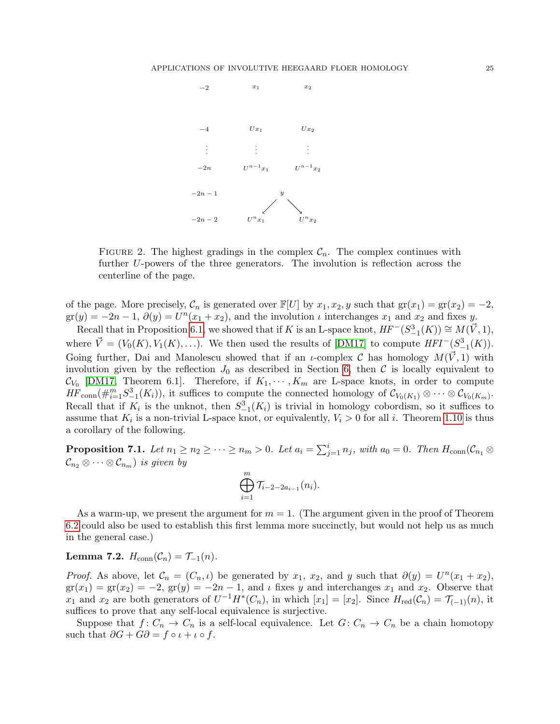

<span id="page-24-0"></span>FIGURE 2. The highest gradings in the complex  $C_n$ . The complex continues with further U-powers of the three generators. The involution is reflection across the centerline of the page.

of the page. More precisely,  $\mathcal{C}_n$  is generated over  $\mathbb{F}[U]$  by  $x_1, x_2, y$  such that  $\text{gr}(x_1) = \text{gr}(x_2) = -2$ ,  $gr(y) = -2n - 1$ ,  $\partial(y) = U^{n}(x_1 + x_2)$ , and the involution  $\iota$  interchanges  $x_1$  and  $x_2$  and fixes y.

Recall that in Proposition [6.1,](#page-18-0) we showed that if K is an L-space knot,  $HF^-(S^3_{-1}(K)) \cong M(\vec{V}, 1)$ , where  $\vec{V} = (V_0(K), V_1(K), \ldots)$ . We then used the results of [\[DM17\]](#page-31-4) to compute  $HFT^{-}(S^3_{-1}(K))$ . Going further, Dai and Manolescu showed that if an *u*-complex C has homology  $M(\vec{V}, 1)$  with involution given by the reflection  $J_0$  as described in Section [6,](#page-17-0) then C is locally equivalent to  $\mathcal{C}_{V_0}$  [\[DM17,](#page-31-4) Theorem 6.1]. Therefore, if  $K_1, \cdots, K_m$  are L-space knots, in order to compute  $\overline{HF}_{\text{conn}}(\#_{i=1}^m S^3_{-1}(K_i))$ , it suffices to compute the connected homology of  $\mathcal{C}_{V_0(K_1)} \otimes \cdots \otimes \mathcal{C}_{V_0(K_m)}$ . Recall that if  $K_i$  is the unknot, then  $S^3_{-1}(K_i)$  is trivial in homology cobordism, so it suffices to assume that  $K_i$  is a non-trivial L-space knot, or equivalently,  $V_i > 0$  for all i. Theorem [1.10](#page-2-1) is thus a corollary of the following.

<span id="page-24-1"></span>**Proposition 7.1.** Let  $n_1 \geq n_2 \geq \cdots \geq n_m > 0$ . Let  $a_i = \sum_{j=1}^i n_j$ , with  $a_0 = 0$ . Then  $H_{conn}(\mathcal{C}_{n_1} \otimes$  $\mathcal{C}_{n_2} \otimes \cdots \otimes \mathcal{C}_{n_m}$  is given by

$$
\bigoplus_{i=1}^m \mathcal{T}_{i-2-2a_{i-1}}(n_i).
$$

As a warm-up, we present the argument for  $m = 1$ . (The argument given in the proof of Theorem [6.2](#page-18-2) could also be used to establish this first lemma more succinctly, but would not help us as much in the general case.)

# <span id="page-24-2"></span>Lemma 7.2.  $H_{conn}(\mathcal{C}_n) = \mathcal{T}_{-1}(n)$ .

*Proof.* As above, let  $\mathcal{C}_n = (C_n, \iota)$  be generated by  $x_1, x_2$ , and y such that  $\partial(y) = U^n(x_1 + x_2)$ ,  $gr(x_1) = gr(x_2) = -2$ ,  $gr(y) = -2n - 1$ , and  $\iota$  fixes y and interchanges  $x_1$  and  $x_2$ . Observe that  $x_1$  and  $x_2$  are both generators of  $U^{-1}H^*(C_n)$ , in which  $[x_1] = [x_2]$ . Since  $H_{red}(C_n) = \mathcal{T}_{(-1)}(n)$ , it suffices to prove that any self-local equivalence is surjective.

Suppose that  $f: C_n \to C_n$  is a self-local equivalence. Let  $G: C_n \to C_n$  be a chain homotopy such that  $\partial G + G\partial = f \circ \iota + \iota \circ f$ .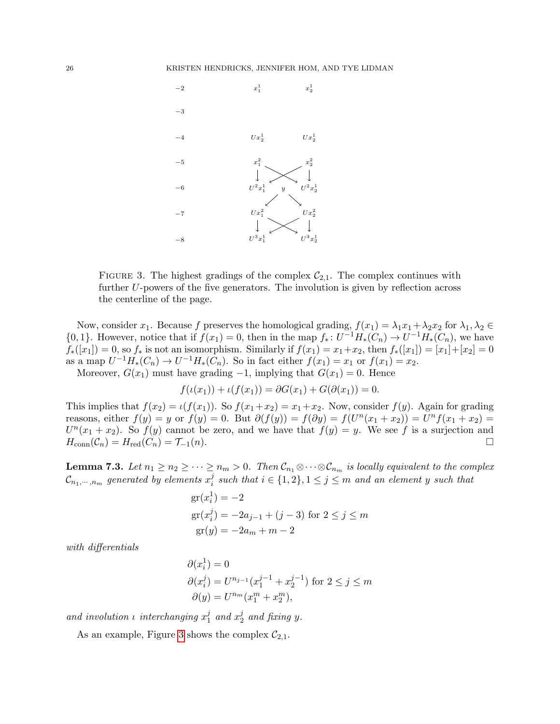

<span id="page-25-0"></span>FIGURE 3. The highest gradings of the complex  $C_{2,1}$ . The complex continues with further U-powers of the five generators. The involution is given by reflection across the centerline of the page.

Now, consider  $x_1$ . Because f preserves the homological grading,  $f(x_1) = \lambda_1 x_1 + \lambda_2 x_2$  for  $\lambda_1, \lambda_2 \in$  ${0, 1}.$  However, notice that if  $f(x_1) = 0$ , then in the map  $f_*: U^{-1}H_*(C_n) \to U^{-1}H_*(C_n)$ , we have  $f_*(x_1) = 0$ , so  $f_*$  is not an isomorphism. Similarly if  $f(x_1) = x_1 + x_2$ , then  $f_*(x_1) = [x_1] + [x_2] = 0$ as a map  $U^{-1}H_*(C_n) \to U^{-1}H_*(C_n)$ . So in fact either  $f(x_1) = x_1$  or  $f(x_1) = x_2$ .

Moreover,  $G(x_1)$  must have grading  $-1$ , implying that  $G(x_1) = 0$ . Hence

$$
f(\iota(x_1)) + \iota(f(x_1)) = \partial G(x_1) + G(\partial(x_1)) = 0
$$

This implies that  $f(x_2) = \iota(f(x_1))$ . So  $f(x_1+x_2) = x_1+x_2$ . Now, consider  $f(y)$ . Again for grading reasons, either  $f(y) = y$  or  $f(y) = 0$ . But  $\partial(f(y)) = f(\partial y) = f(U^{n}(x_1 + x_2)) = U^{n}f(x_1 + x_2) =$  $U^{n}(x_1+x_2)$ . So  $f(y)$  cannot be zero, and we have that  $f(y) = y$ . We see f is a surjection and  $H_{\text{conn}}(\mathcal{C}_n) = H_{\text{red}}(C_n) = \mathcal{T}_{-1}(n).$ 

<span id="page-25-1"></span>**Lemma 7.3.** Let  $n_1 \geq n_2 \geq \cdots \geq n_m > 0$ . Then  $\mathcal{C}_{n_1} \otimes \cdots \otimes \mathcal{C}_{n_m}$  is locally equivalent to the complex  $\mathcal{C}_{n_1,\cdots,n_m}$  generated by elements  $x_i^j$  $i<sup>j</sup>$  such that  $i \in \{1,2\}, 1 \leq j \leq m$  and an element y such that

gr
$$
(x_i^1) = -2
$$
  
gr $(x_i^j) = -2a_{j-1} + (j-3)$  for  $2 \le j \le m$   
gr $(y) = -2a_m + m - 2$ 

with differentials

$$
\partial(x_i^1) = 0
$$
  
\n
$$
\partial(x_i^j) = U^{n_{j-1}}(x_1^{j-1} + x_2^{j-1}) \text{ for } 2 \le j \le m
$$
  
\n
$$
\partial(y) = U^{n_m}(x_1^m + x_2^m),
$$

and involution  $\iota$  interchanging  $x_1^j$  $i_1$  and  $x_2^j$  $\frac{3}{2}$  and fixing y.

As an example, Figure [3](#page-25-0) shows the complex  $C_{2,1}$ .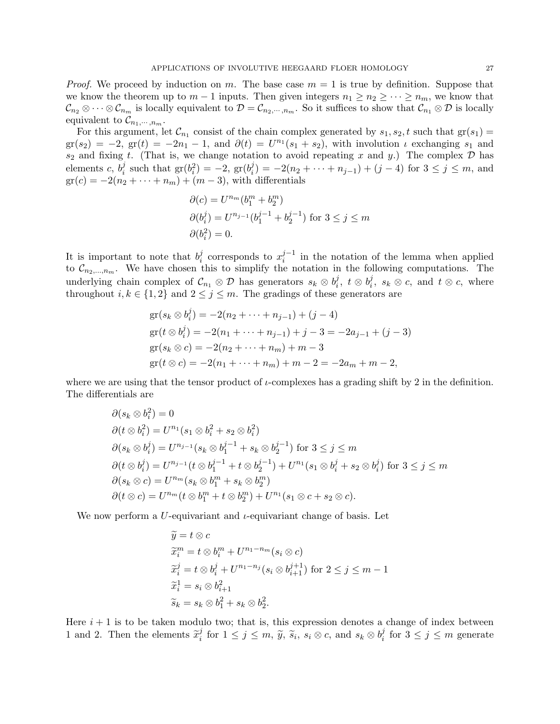*Proof.* We proceed by induction on m. The base case  $m = 1$  is true by definition. Suppose that we know the theorem up to  $m-1$  inputs. Then given integers  $n_1 \geq n_2 \geq \cdots \geq n_m$ , we know that  $\mathcal{C}_{n_2} \otimes \cdots \otimes \mathcal{C}_{n_m}$  is locally equivalent to  $\mathcal{D} = \mathcal{C}_{n_2,\cdots,n_m}$ . So it suffices to show that  $\mathcal{C}_{n_1} \otimes \mathcal{D}$  is locally equivalent to  $\mathcal{C}_{n_1,\dots,n_m}$ .

For this argument, let  $\mathcal{C}_{n_1}$  consist of the chain complex generated by  $s_1, s_2, t$  such that  $\text{gr}(s_1)$  $gr(s_2) = -2$ ,  $gr(t) = -2n_1 - 1$ , and  $\partial(t) = U^{n_1}(s_1 + s_2)$ , with involution  $\iota$  exchanging  $s_1$  and  $s_2$  and fixing t. (That is, we change notation to avoid repeating x and y.) The complex D has elements  $c, b_i^j$  $i_j$  such that  $gr(b_i^2) = -2$ ,  $gr(b_i^j)$  $i_j^j = -2(n_2 + \cdots + n_{j-1}) + (j-4)$  for  $3 \le j \le m$ , and  $gr(c) = -2(n_2 + \cdots + n_m) + (m-3)$ , with differentials

$$
\partial(c) = U^{n_m}(b_1^m + b_2^m)
$$
  
\n
$$
\partial(b_i^j) = U^{n_{j-1}}(b_1^{j-1} + b_2^{j-1}) \text{ for } 3 \le j \le m
$$
  
\n
$$
\partial(b_i^2) = 0.
$$

It is important to note that  $b_i^j$  $i$  corresponds to  $x_i^{j-1}$  $i^{j-1}$  in the notation of the lemma when applied to  $\mathcal{C}_{n_2,\dots,n_m}$ . We have chosen this to simplify the notation in the following computations. The underlying chain complex of  $\mathcal{C}_{n_1} \otimes \mathcal{D}$  has generators  $s_k \otimes b_i^j$  $i, \, \, t \, \otimes \, b_i^j$  $i<sup>j</sup>$ ,  $s_k \otimes c$ , and  $t \otimes c$ , where throughout  $i, k \in \{1, 2\}$  and  $2 \leq j \leq m$ . The gradings of these generators are

$$
gr(s_k \otimes b_i^j) = -2(n_2 + \dots + n_{j-1}) + (j - 4)
$$
  
\n
$$
gr(t \otimes b_i^j) = -2(n_1 + \dots + n_{j-1}) + j - 3 = -2a_{j-1} + (j - 3)
$$
  
\n
$$
gr(s_k \otimes c) = -2(n_2 + \dots + n_m) + m - 3
$$
  
\n
$$
gr(t \otimes c) = -2(n_1 + \dots + n_m) + m - 2 = -2a_m + m - 2,
$$

where we are using that the tensor product of  $\iota$ -complexes has a grading shift by 2 in the definition. The differentials are

$$
\partial(s_k \otimes b_i^2) = 0
$$
  
\n
$$
\partial(t \otimes b_i^2) = U^{n_1}(s_1 \otimes b_i^2 + s_2 \otimes b_i^2)
$$
  
\n
$$
\partial(s_k \otimes b_i^j) = U^{n_j - 1}(s_k \otimes b_1^{j-1} + s_k \otimes b_2^{j-1}) \text{ for } 3 \le j \le m
$$
  
\n
$$
\partial(t \otimes b_i^j) = U^{n_j - 1}(t \otimes b_1^{j-1} + t \otimes b_2^{j-1}) + U^{n_1}(s_1 \otimes b_i^j + s_2 \otimes b_i^j) \text{ for } 3 \le j \le m
$$
  
\n
$$
\partial(s_k \otimes c) = U^{n_m}(s_k \otimes b_1^m + s_k \otimes b_2^m)
$$
  
\n
$$
\partial(t \otimes c) = U^{n_m}(t \otimes b_1^m + t \otimes b_2^m) + U^{n_1}(s_1 \otimes c + s_2 \otimes c).
$$

We now perform a U-equivariant and  $\iota$ -equivariant change of basis. Let

$$
\widetilde{y} = t \otimes c
$$
  
\n
$$
\widetilde{x}_i^m = t \otimes b_i^m + U^{n_1 - n_m}(s_i \otimes c)
$$
  
\n
$$
\widetilde{x}_i^j = t \otimes b_i^j + U^{n_1 - n_j}(s_i \otimes b_{i+1}^{j+1}) \text{ for } 2 \le j \le m - 1
$$
  
\n
$$
\widetilde{x}_i^1 = s_i \otimes b_{i+1}^2
$$
  
\n
$$
\widetilde{s}_k = s_k \otimes b_1^2 + s_k \otimes b_2^2.
$$

Here  $i + 1$  is to be taken modulo two; that is, this expression denotes a change of index between 1 and 2. Then the elements  $\tilde{x}_i^j$  $j_i$  for  $1 \leq j \leq m$ ,  $\widetilde{y}$ ,  $\widetilde{s}_i$ ,  $s_i \otimes c$ , and  $s_k \otimes b_i^j$  $i<sup>j</sup>$  for  $3 \leq j \leq m$  generate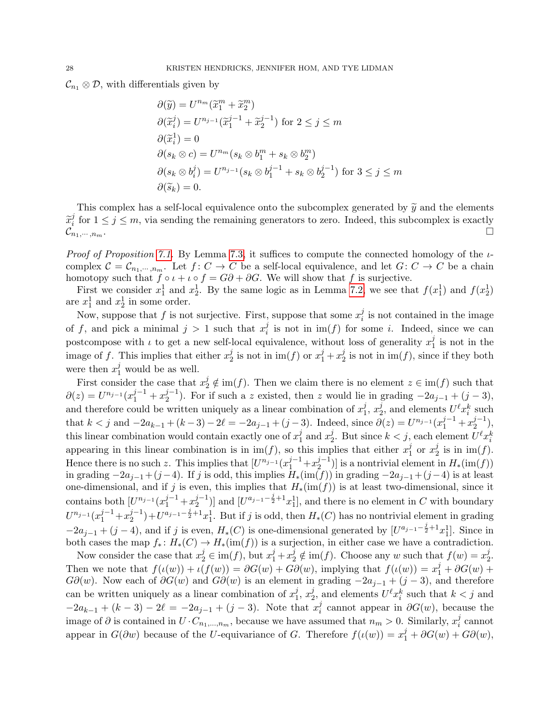$\mathcal{C}_{n_1} \otimes \mathcal{D}$ , with differentials given by

$$
\partial(\widetilde{y}) = U^{n_m}(\widetilde{x}_1^m + \widetilde{x}_2^m)
$$
  
\n
$$
\partial(\widetilde{x}_i^j) = U^{n_{j-1}}(\widetilde{x}_1^{j-1} + \widetilde{x}_2^{j-1}) \text{ for } 2 \le j \le m
$$
  
\n
$$
\partial(\widetilde{x}_i^1) = 0
$$
  
\n
$$
\partial(s_k \otimes c) = U^{n_m}(s_k \otimes b_1^m + s_k \otimes b_2^m)
$$
  
\n
$$
\partial(s_k \otimes b_i^j) = U^{n_{j-1}}(s_k \otimes b_1^{j-1} + s_k \otimes b_2^{j-1}) \text{ for } 3 \le j \le m
$$
  
\n
$$
\partial(\widetilde{s}_k) = 0.
$$

This complex has a self-local equivalence onto the subcomplex generated by  $\tilde{y}$  and the elements  $\widetilde{x}_i^j$  $i<sub>i</sub>$  for  $1 \leq j \leq m$ , via sending the remaining generators to zero. Indeed, this subcomplex is exactly  $\mathcal{C}_{n_1,\cdots,n_m}$ .

*Proof of Proposition [7.1.](#page-24-1)* By Lemma [7.3,](#page-25-1) it suffices to compute the connected homology of the  $\iota$ complex  $C = C_{n_1,\dots,n_m}$ . Let  $f: C \to C$  be a self-local equivalence, and let  $G: C \to C$  be a chain homotopy such that  $f \circ \iota + \iota \circ f = G\partial + \partial G$ . We will show that f is surjective.

First we consider  $x_1^1$  and  $x_2^1$ . By the same logic as in Lemma [7.2,](#page-24-2) we see that  $f(x_1^1)$  and  $f(x_2^1)$ are  $x_1^1$  and  $x_2^1$  in some order.

Now, suppose that f is not surjective. First, suppose that some  $x_i^j$  $i$  is not contained in the image of f, and pick a minimal  $j > 1$  such that  $x_i^j$  $i<sub>i</sub>$  is not in  $\text{im}(f)$  for some i. Indeed, since we can postcompose with  $\iota$  to get a new self-local equivalence, without loss of generality  $x_1^j$  $j_1$  is not in the image of f. This implies that either  $x_2^j$  $y_2^j$  is not in  $\text{im}(f)$  or  $x_1^j + x_2^j$  $2^j$  is not in  $\text{im}(f)$ , since if they both were then  $x_1^j$  would be as well.

First consider the case that  $x_2^j \notin \text{im}(f)$ . Then we claim there is no element  $z \in \text{im}(f)$  such that  $\partial(z) = U^{n_{j-1}}(x_1^{j-1} + x_2^{j-1})$  $2^{j-1}$ ). For if such a z existed, then z would lie in grading  $-2a_{j-1} + (j-3)$ , and therefore could be written uniquely as a linear combination of  $x_1^j$  $j, x_2^j$  $\frac{j}{2}$ , and elements  $U^{\ell}x_i^k$  such that  $k < j$  and  $-2a_{k-1} + (k-3) - 2\ell = -2a_{j-1} + (j-3)$ . Indeed, since  $\partial(z) = U^{n_{j-1}}(x_1^{j-1} + x_2^{j-1})$  $_{2}^{j-1}),$ this linear combination would contain exactly one of  $x_1^j$  $j_1$  and  $x_2^j$ <sup>j</sup>. But since  $k < j$ , each element  $U^{\ell}x_i^k$ appearing in this linear combination is in  $\text{im}(f)$ , so this implies that either  $x_1^j$  $_1^j$  or  $x_2^j$  $2^j$  is in im(f). Hence there is no such z. This implies that  $[U^{n_{j-1}}(x_1^{j-1}+x_2^{j-1})]$  $\binom{1}{2}$  is a nontrivial element in  $H_*(\text{im}(f))$ in grading  $-2a_{j-1}+(j-4)$ . If j is odd, this implies  $H_*(\text{im}(f))$  in grading  $-2a_{j-1}+(j-4)$  is at least one-dimensional, and if j is even, this implies that  $H_*(\text{im}(f))$  is at least two-dimensional, since it contains both  $[U^{n_{j-1}}(x_1^{j-1}+x_2^{j-1})]$  $\binom{j-1}{2}$  and  $\lfloor U^{a_{j-1}-\frac{j}{2}+1}x_1^1 \rfloor$ , and there is no element in C with boundary  $U^{n_{j-1}}(x_1^{j-1}+x_2^{j-1})$  $\binom{j-1}{2}+U^{a_{j-1}-\frac{j}{2}+1}x_1^1$ . But if j is odd, then  $H_*(C)$  has no nontrivial element in grading  $-2a_{j-1} + (j-4)$ , and if j is even,  $H_*(C)$  is one-dimensional generated by  $[U^{a_{j-1}-\frac{j}{2}+1}x_1^1]$ . Since in both cases the map  $f_* : H_*(C) \to H_*(\text{im}(f))$  is a surjection, in either case we have a contradiction.

Now consider the case that  $x_2^j \in \text{im}(f)$ , but  $x_1^j + x_2^j \notin \text{im}(f)$ . Choose any w such that  $f(w) = x_2^j$  $\frac{j}{2}$ . Then we note that  $f(\iota(w)) + \iota(f(w)) = \partial G(w) + G\partial(w)$ , implying that  $f(\iota(w)) = x_1^j + \partial G(w) + G\partial(w)$  $G\partial(w)$ . Now each of  $\partial G(w)$  and  $G\partial(w)$  is an element in grading  $-2a_{j-1} + (j-3)$ , and therefore can be written uniquely as a linear combination of  $x_1^j$  $j_1, x_2^j$  $\sum_{i=1}^{j} a_i$  and elements  $U^{\ell} x_i^k$  such that  $k < j$  and  $-2a_{k-1} + (k-3) - 2\ell = -2a_{j-1} + (j-3)$ . Note that  $x_i^j$  $i<sub>i</sub>$  cannot appear in  $\partial G(w)$ , because the image of  $\partial$  is contained in  $U \cdot C_{n_1,...,n_m}$ , because we have assumed that  $n_m > 0$ . Similarly,  $x_i^j$  $i$  cannot appear in  $G(\partial w)$  because of the U-equivariance of G. Therefore  $f(\iota(w)) = x_1^j + \partial G(w) + G\partial(w)$ ,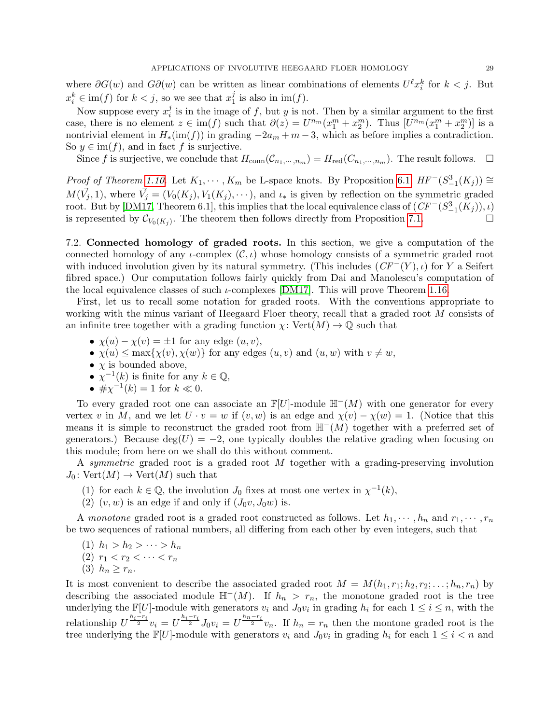where  $\partial G(w)$  and  $G\partial(w)$  can be written as linear combinations of elements  $U^{\ell}x_i^k$  for  $k < j$ . But  $x_i^k \in \text{im}(f)$  for  $k < j$ , so we see that  $x_1^j$  $\frac{J}{1}$  is also in im(f).

Now suppose every  $x_i^j$  $\frac{1}{i}$  is in the image of f, but y is not. Then by a similar argument to the first case, there is no element  $z \in \text{im}(f)$  such that  $\partial(z) = U^{n_m}(x_1^m + x_2^m)$ . Thus  $[U^{n_m}(x_1^m + x_2^m)]$  is a nontrivial element in  $H_*(\text{im}(f))$  in grading  $-2a_m + m - 3$ , which as before implies a contradiction. So  $y \in \text{im}(f)$ , and in fact f is surjective.

Since f is surjective, we conclude that  $H_{conn}(\mathcal{C}_{n_1,\cdots,n_m})=H_{red}(C_{n_1,\cdots,n_m})$ . The result follows.  $\Box$ 

*Proof of Theorem [1.10.](#page-2-1)* Let  $K_1, \dots, K_m$  be L-space knots. By Proposition [6.1,](#page-18-0)  $HF^{-}(S^3_{-1}(K_j)) \cong$  $M(\vec{V}_j, 1)$ , where  $\vec{V}_j = (V_0(K_j), V_1(K_j), \cdots)$ , and  $\iota_*$  is given by reflection on the symmetric graded root. But by [\[DM17,](#page-31-4) Theorem 6.1], this implies that the local equivalence class of  $(CF^{-}(S_{-1}^{3}(K_{j})), \iota)$ is represented by  $\mathcal{C}_{V_0(K_j)}$ . The theorem then follows directly from Proposition [7.1.](#page-24-1)

<span id="page-28-0"></span>7.2. Connected homology of graded roots. In this section, we give a computation of the connected homology of any  $\iota$ -complex  $(\mathcal{C}, \iota)$  whose homology consists of a symmetric graded root with induced involution given by its natural symmetry. (This includes  $(CF^-(Y), \iota)$  for Y a Seifert fibred space.) Our computation follows fairly quickly from Dai and Manolescu's computation of the local equivalence classes of such  $\iota$ -complexes [\[DM17\]](#page-31-4). This will prove Theorem [1.16.](#page-3-0)

First, let us to recall some notation for graded roots. With the conventions appropriate to working with the minus variant of Heegaard Floer theory, recall that a graded root M consists of an infinite tree together with a grading function  $\chi: \text{Vert}(M) \to \mathbb{Q}$  such that

- $\chi(u) \chi(v) = \pm 1$  for any edge  $(u, v)$ ,
- $\chi(u) \leq \max{\chi(v), \chi(w)}$  for any edges  $(u, v)$  and  $(u, w)$  with  $v \neq w$ ,
- $\chi$  is bounded above,
- $\chi^{-1}(k)$  is finite for any  $k \in \mathbb{Q}$ ,
- $\#\chi^{-1}(k) = 1$  for  $k \ll 0$ .

To every graded root one can associate an  $\mathbb{F}[U]$ -module  $\mathbb{H}^-(M)$  with one generator for every vertex v in M, and we let  $U \cdot v = w$  if  $(v, w)$  is an edge and  $\chi(v) - \chi(w) = 1$ . (Notice that this means it is simple to reconstruct the graded root from  $H^-(M)$  together with a preferred set of generators.) Because  $deg(U) = -2$ , one typically doubles the relative grading when focusing on this module; from here on we shall do this without comment.

A symmetric graded root is a graded root M together with a grading-preserving involution  $J_0$ : Vert $(M) \to \text{Vert}(M)$  such that

- (1) for each  $k \in \mathbb{Q}$ , the involution  $J_0$  fixes at most one vertex in  $\chi^{-1}(k)$ ,
- (2)  $(v, w)$  is an edge if and only if  $(J_0v, J_0w)$  is.

A monotone graded root is a graded root constructed as follows. Let  $h_1, \dots, h_n$  and  $r_1, \dots, r_n$ be two sequences of rational numbers, all differing from each other by even integers, such that

- (1)  $h_1 > h_2 > \cdots > h_n$
- (2)  $r_1 < r_2 < \cdots < r_n$
- (3)  $h_n > r_n$ .

It is most convenient to describe the associated graded root  $M = M(h_1, r_1; h_2, r_2; \ldots; h_n, r_n)$  by describing the associated module  $\mathbb{H}^-(M)$ . If  $h_n > r_n$ , the monotone graded root is the tree underlying the  $\mathbb{F}[U]$ -module with generators  $v_i$  and  $J_0v_i$  in grading  $h_i$  for each  $1 \leq i \leq n$ , with the relationship  $U^{\frac{h_i-r_i}{2}}v_i = U^{\frac{h_i-r_i}{2}}J_0v_i = U^{\frac{h_n-r_i}{2}}v_n$ . If  $h_n = r_n$  then the montone graded root is the tree underlying the  $\mathbb{F}[U]$ -module with generators  $v_i$  and  $J_0v_i$  in grading  $h_i$  for each  $1 \leq i < n$  and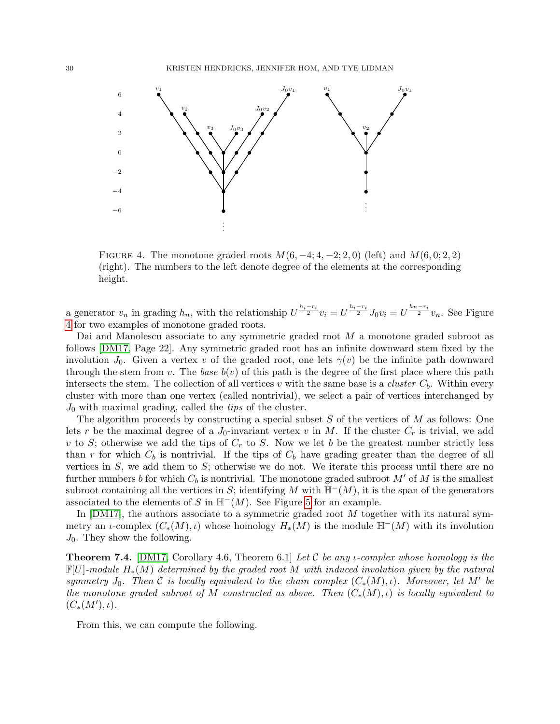

<span id="page-29-0"></span>FIGURE 4. The monotone graded roots  $M(6, -4, 4, -2, 2, 0)$  (left) and  $M(6, 0, 2, 2)$ (right). The numbers to the left denote degree of the elements at the corresponding height.

a generator  $v_n$  in grading  $h_n$ , with the relationship  $U^{\frac{h_i-r_i}{2}}v_i = U^{\frac{h_i-r_i}{2}}J_0v_i = U^{\frac{h_n-r_i}{2}}v_n$ . See Figure [4](#page-29-0) for two examples of monotone graded roots.

Dai and Manolescu associate to any symmetric graded root M a monotone graded subroot as follows [\[DM17,](#page-31-4) Page 22]. Any symmetric graded root has an infinite downward stem fixed by the involution  $J_0$ . Given a vertex v of the graded root, one lets  $\gamma(v)$  be the infinite path downward through the stem from v. The base  $b(v)$  of this path is the degree of the first place where this path intersects the stem. The collection of all vertices v with the same base is a *cluster*  $C_b$ . Within every cluster with more than one vertex (called nontrivial), we select a pair of vertices interchanged by  $J_0$  with maximal grading, called the *tips* of the cluster.

than r for which  $C_b$  is nontrivial. If the tips of  $C_b$  have grading greater than the degree of all The algorithm proceeds by constructing a special subset  $S$  of the vertices of  $M$  as follows: One lets r be the maximal degree of a  $J_0$ -invariant vertex v in M. If the cluster  $C_r$  is trivial, we add v to S; otherwise we add the tips of  $C_r$  to S. Now we let b be the greatest number strictly less vertices in  $S$ , we add them to  $S$ ; otherwise we do not. We iterate this process until there are no further numbers b for which  $C_b$  is nontrivial. The monotone graded subroot M' of M is the smallest subroot containing all the vertices in S; identifying M with  $\mathbb{H}^-(M)$ , it is the span of the generators associated to the elements of S in  $H^-(M)$ . See Figure [5](#page-30-0) for an example.

In  $[DM17]$ , the authors associate to a symmetric graded root M together with its natural symmetry an *ι*-complex  $(C_*(M), \iota)$  whose homology  $H_*(M)$  is the module  $\mathbb{H}^-(M)$  with its involution  $J_0$ . They show the following.

**Theorem 7.4.** [\[DM17,](#page-31-4) Corollary 4.6, Theorem 6.1] Let C be any *i*-complex whose homology is the  $\mathbb{F}[U]$ -module  $H_*(M)$  determined by the graded root M with induced involution given by the natural symmetry  $J_0$ . Then C is locally equivalent to the chain complex  $(C_*(M), \iota)$ . Moreover, let M' be the monotone graded subroot of M constructed as above. Then  $(C_*(M), \iota)$  is locally equivalent to  $(C_*(M'), \iota).$ 

From this, we can compute the following.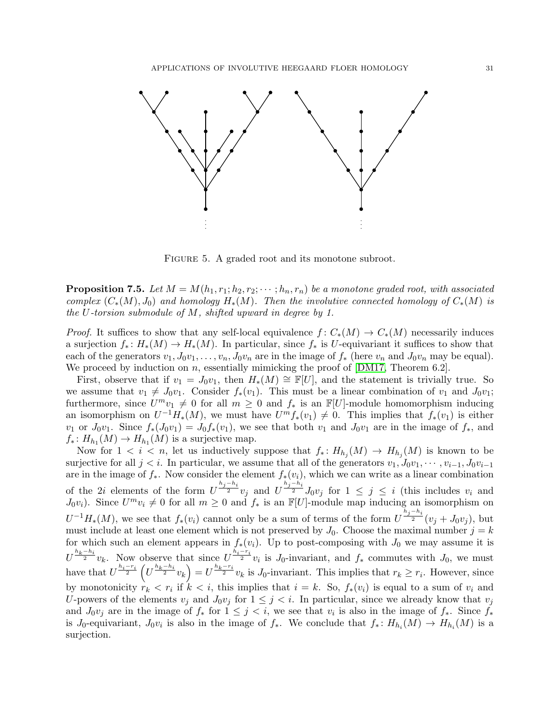

<span id="page-30-0"></span>FIGURE 5. A graded root and its monotone subroot.

the U-torsion submodule of  $M$ , shifted upward in degree by 1. **Proposition 7.5.** Let  $M = M(h_1, r_1; h_2, r_2; \dots; h_n, r_n)$  be a monotone graded root, with associated complex  $(C_*(M), J_0)$  and homology  $H_*(M)$ . Then the involutive connected homology of  $C_*(M)$  is

a surjection  $f_* : H_*(M) \to H_*(M)$ . In particular, since  $f_*$  is U-equivariant it suffices to show that We proceed by induction on n, essentially mimicking the proof of  $[DM17, Theorem 6.2]$  $[DM17, Theorem 6.2]$ . each of the generators  $v_1, J_0v_1, \ldots, v_n, J_0v_n$  are in the image of  $f_*$  (here  $v_n$  and  $J_0v_n$  may be equal). *Proof.* It suffices to show that any self-local equivalence  $f: C_*(M) \to C_*(M)$  necessarily induces

First, observe that if  $v_1 = J_0v_1$ , then  $H_*(M) \cong \mathbb{F}[U]$ , and the statement is trivially true. So furthermore, since  $U^{m}v_1 \neq 0$  for all  $m \geq 0$  and  $f_*$  is an  $\mathbb{F}[U]$ -module homomorphism inducing −−<br>− − −  $f_*: H_{h_1}(M) \to H_{h_1}(M)$  is a surjective map.  $v_1$  or  $J_0v_1$ . Since  $f_*(J_0v_1) = J_0f_*(v_1)$ , we see that both  $v_1$  and  $J_0v_1$  are in the image of  $f_*,$  and we assume that  $v_1 \neq J_0v_1$ . Consider  $f_*(v_1)$ . This must be a linear combination of  $v_1$  and  $J_0v_1$ ; an isomorphism on  $U^{-1}H_*(M)$ , we must have  $U^m f_*(v_1) \neq 0$ . This implies that  $f_*(v_1)$  is either

Now for  $1 \leq i \leq n$ , let us inductively suppose that  $f_*: H_{h_j}(M) \to H_{h_j}(M)$  is known to be surjective for all  $j < i$ . In particular, we assume that all of the generators  $v_1, J_0v_1, \cdots, v_{i-1}, J_0v_{i-1}$ are in the image of  $f_*$ . Now consider the element  $f_*(v_i)$ , which we can write as a linear combination of the 2*i* elements of the form  $U^{\frac{h_j-h_i}{2}}v_j$  and  $U^{\frac{h_j-h_i}{2}}J_0v_j$  for  $1 \leq j \leq i$  (this includes  $v_i$  and  $J_0v_i$ ). Since  $U^mv_i \neq 0$  for all  $m \geq 0$  and  $f_*$  is an  $\mathbb{F}[U]$ -module map inducing an isomorphism on  $U^{-1}H_*(M)$ , we see that  $f_*(v_i)$  cannot only be a sum of terms of the form  $U^{\frac{h_j-h_i}{2}}(v_j+J_0v_j)$ , but must include at least one element which is not preserved by  $J_0$ . Choose the maximal number  $j = k$ for which such an element appears in  $f_*(v_i)$ . Up to post-composing with  $J_0$  we may assume it is  $U^{\frac{h_k-h_i}{2}}v_k$ . Now observe that since  $U^{\frac{h_i-r_i}{2}}v_i$  is J<sub>0</sub>-invariant, and  $f_*$  commutes with J<sub>0</sub>, we must have that  $U^{\frac{h_i-r_i}{2}}(U^{\frac{h_k-h_i}{2}}v_k) = U^{\frac{h_k-r_i}{2}}v_k$  is J<sub>0</sub>-invariant. This implies that  $r_k \geq r_i$ . However, since by monotonicity  $r_k < r_i$  if  $k < i$ , this implies that  $i = k$ . So,  $f_*(v_i)$  is equal to a sum of  $v_i$  and U-powers of the elements  $v_i$  and  $J_0v_j$  for  $1 \leq j \leq i$ . In particular, since we already know that  $v_j$ and  $J_0v_j$  are in the image of  $f_*$  for  $1 \leq j < i$ , we see that  $v_i$  is also in the image of  $f_*$ . Since  $f_*$ is J<sub>0</sub>-equivariant,  $J_0v_i$  is also in the image of  $f_*$ . We conclude that  $f_*: H_{h_i}(M) \to H_{h_i}(M)$  is a surjection.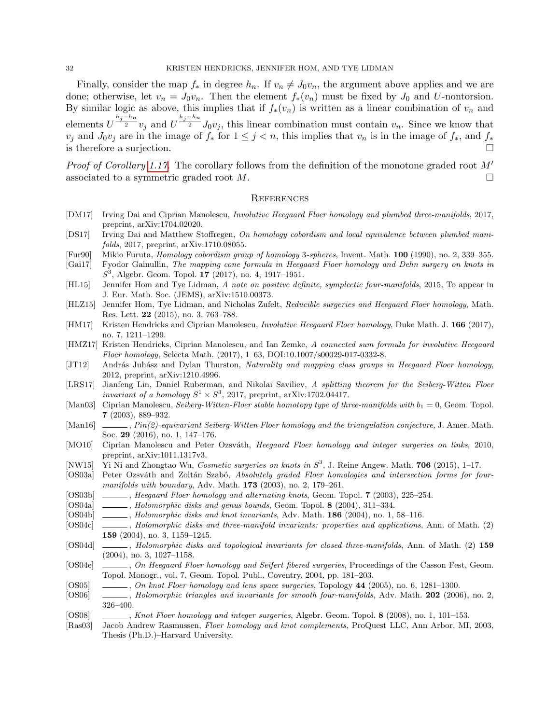Finally, consider the map  $f_*$  in degree  $h_n$ . If  $v_n \neq J_0v_n$ , the argument above applies and we are done; otherwise, let  $v_n = J_0v_n$ . Then the element  $f_*(v_n)$  must be fixed by  $J_0$  and U-nontorsion. By similar logic as above, this implies that if  $f_*(v_n)$  is written as a linear combination of  $v_n$  and elements  $U^{\frac{h_j-h_n}{2}}v_j$  and  $U^{\frac{h_j-h_n}{2}}J_0v_j$ , this linear combination must contain  $v_n$ . Since we know that  $v_j$  and  $J_0v_j$  are in the image of  $f_*$  for  $1 \leq j < n$ , this implies that  $v_n$  is in the image of  $f_*$ , and  $f_*$ is therefore a surjection.

*Proof of Corollary [1.17.](#page-3-2)* The corollary follows from the definition of the monotone graded root  $M'$ associated to a symmetric graded root  $M$ .

### **REFERENCES**

- <span id="page-31-4"></span>[DM17] Irving Dai and Ciprian Manolescu, Involutive Heegaard Floer homology and plumbed three-manifolds, 2017, preprint, arXiv:1704.02020.
- <span id="page-31-10"></span>[DS17] Irving Dai and Matthew Stoffregen, On homology cobordism and local equivalence between plumbed manifolds, 2017, preprint, arXiv:1710.08055.
- <span id="page-31-3"></span>[Fur90] Mikio Furuta, Homology cobordism group of homology 3-spheres, Invent. Math. 100 (1990), no. 2, 339–355.
- <span id="page-31-18"></span>[Gai17] Fyodor Gainullin, The mapping cone formula in Heegaard Floer homology and Dehn surgery on knots in  $S^3$ , Algebr. Geom. Topol. 17 (2017), no. 4, 1917-1951.
- <span id="page-31-22"></span>[HL15] Jennifer Hom and Tye Lidman, A note on positive definite, symplectic four-manifolds, 2015, To appear in J. Eur. Math. Soc. (JEMS), arXiv:1510.00373.
- <span id="page-31-21"></span>[HLZ15] Jennifer Hom, Tye Lidman, and Nicholas Zufelt, Reducible surgeries and Heegaard Floer homology, Math. Res. Lett. 22 (2015), no. 3, 763–788.
- <span id="page-31-2"></span>[HM17] Kristen Hendricks and Ciprian Manolescu, Involutive Heegaard Floer homology, Duke Math. J. 166 (2017), no. 7, 1211–1299.
- <span id="page-31-12"></span>[HMZ17] Kristen Hendricks, Ciprian Manolescu, and Ian Zemke, A connected sum formula for involutive Heegaard Floer homology, Selecta Math. (2017), 1–63, DOI:10.1007/s00029-017-0332-8.
- <span id="page-31-17"></span>[JT12] András Juhász and Dylan Thurston, Naturality and mapping class groups in Heegaard Floer homology, 2012, preprint, arXiv:1210.4996.
- <span id="page-31-11"></span>[LRS17] Jianfeng Lin, Daniel Ruberman, and Nikolai Saviliev, A splitting theorem for the Seiberg-Witten Floer invariant of a homology  $S^1 \times S^3$ , 2017, preprint, arXiv:1702.04417.
- <span id="page-31-1"></span>[Man03] Ciprian Manolescu, Seiberg-Witten-Floer stable homotopy type of three-manifolds with  $b_1 = 0$ , Geom. Topol. 7 (2003), 889–932.
- <span id="page-31-0"></span>[Man16] , Pin(2)-equivariant Seiberg-Witten Floer homology and the triangulation conjecture, J. Amer. Math. Soc. 29 (2016), no. 1, 147–176.
- <span id="page-31-24"></span>[MO10] Ciprian Manolescu and Peter Ozsváth, Heegaard Floer homology and integer surgeries on links, 2010, preprint, arXiv:1011.1317v3.
- <span id="page-31-7"></span>[NW15] Yi Ni and Zhongtao Wu, Cosmetic surgeries on knots in  $S^3$ , J. Reine Angew. Math. 706 (2015), 1–17.
- <span id="page-31-16"></span>[OS03a] Peter Ozsváth and Zoltán Szabó, Absolutely graded Floer homologies and intersection forms for fourmanifolds with boundary, Adv. Math. 173 (2003), no. 2, 179–261.
- <span id="page-31-19"></span>[OS03b] , Heegaard Floer homology and alternating knots, Geom. Topol. 7 (2003), 225–254.
- <span id="page-31-20"></span>[OS04a] , Holomorphic disks and genus bounds, Geom. Topol. 8 (2004), 311–334.
- <span id="page-31-23"></span>[OS04b] , Holomorphic disks and knot invariants, Adv. Math. 186 (2004), no. 1, 58–116.
- <span id="page-31-14"></span>[OS04c] , Holomorphic disks and three-manifold invariants: properties and applications, Ann. of Math. (2) 159 (2004), no. 3, 1159–1245.
- <span id="page-31-13"></span>[OS04d]  $\qquad \qquad$ , Holomorphic disks and topological invariants for closed three-manifolds, Ann. of Math. (2) 159 (2004), no. 3, 1027–1158.
- <span id="page-31-8"></span>[OS04e] , On Heegaard Floer homology and Seifert fibered surgeries, Proceedings of the Casson Fest, Geom. Topol. Monogr., vol. 7, Geom. Topol. Publ., Coventry, 2004, pp. 181–203.
- <span id="page-31-9"></span>[OS05] , On knot Floer homology and lens space surgeries, Topology 44 (2005), no. 6, 1281–1300.
- <span id="page-31-15"></span>[OS06] , Holomorphic triangles and invariants for smooth four-manifolds, Adv. Math. 202 (2006), no. 2, 326–400.
- <span id="page-31-5"></span>[OS08] , Knot Floer homology and integer surgeries, Algebr. Geom. Topol. 8 (2008), no. 1, 101–153.
- <span id="page-31-6"></span>[Ras03] Jacob Andrew Rasmussen, Floer homology and knot complements, ProQuest LLC, Ann Arbor, MI, 2003, Thesis (Ph.D.)–Harvard University.